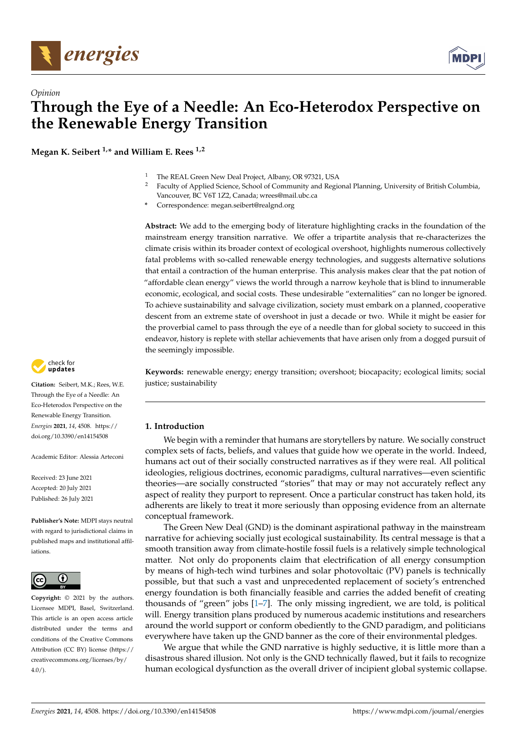

*Opinion*



# **Through the Eye of a Needle: An Eco-Heterodox Perspective on the Renewable Energy Transition**

**Megan K. Seibert 1,\* and William E. Rees 1,2**

- <sup>1</sup> The REAL Green New Deal Project, Albany, OR 97321, USA<br><sup>2</sup> Eaculty of Applied Science, School of Community and Regio
	- <sup>2</sup> Faculty of Applied Science, School of Community and Regional Planning, University of British Columbia, Vancouver, BC V6T 1Z2, Canada; wrees@mail.ubc.ca
- **\*** Correspondence: megan.seibert@realgnd.org

**Abstract:** We add to the emerging body of literature highlighting cracks in the foundation of the mainstream energy transition narrative. We offer a tripartite analysis that re-characterizes the climate crisis within its broader context of ecological overshoot, highlights numerous collectively fatal problems with so-called renewable energy technologies, and suggests alternative solutions that entail a contraction of the human enterprise. This analysis makes clear that the pat notion of "affordable clean energy" views the world through a narrow keyhole that is blind to innumerable economic, ecological, and social costs. These undesirable "externalities" can no longer be ignored. To achieve sustainability and salvage civilization, society must embark on a planned, cooperative descent from an extreme state of overshoot in just a decade or two. While it might be easier for the proverbial camel to pass through the eye of a needle than for global society to succeed in this endeavor, history is replete with stellar achievements that have arisen only from a dogged pursuit of the seemingly impossible.

**Keywords:** renewable energy; energy transition; overshoot; biocapacity; ecological limits; social justice; sustainability

# **1. Introduction**

We begin with a reminder that humans are storytellers by nature. We socially construct complex sets of facts, beliefs, and values that guide how we operate in the world. Indeed, humans act out of their socially constructed narratives as if they were real. All political ideologies, religious doctrines, economic paradigms, cultural narratives—even scientific theories—are socially constructed "stories" that may or may not accurately reflect any aspect of reality they purport to represent. Once a particular construct has taken hold, its adherents are likely to treat it more seriously than opposing evidence from an alternate conceptual framework.

The Green New Deal (GND) is the dominant aspirational pathway in the mainstream narrative for achieving socially just ecological sustainability. Its central message is that a smooth transition away from climate-hostile fossil fuels is a relatively simple technological matter. Not only do proponents claim that electrification of all energy consumption by means of high-tech wind turbines and solar photovoltaic (PV) panels is technically possible, but that such a vast and unprecedented replacement of society's entrenched energy foundation is both financially feasible and carries the added benefit of creating thousands of "green" jobs [\[1–](#page-14-0)[7\]](#page-14-1). The only missing ingredient, we are told, is political will. Energy transition plans produced by numerous academic institutions and researchers around the world support or conform obediently to the GND paradigm, and politicians everywhere have taken up the GND banner as the core of their environmental pledges.

We argue that while the GND narrative is highly seductive, it is little more than a disastrous shared illusion. Not only is the GND technically flawed, but it fails to recognize human ecological dysfunction as the overall driver of incipient global systemic collapse.



**Citation:** Seibert, M.K.; Rees, W.E. Through the Eye of a Needle: An Eco-Heterodox Perspective on the Renewable Energy Transition. *Energies* **2021**, *14*, 4508. [https://](https://doi.org/10.3390/en14154508) [doi.org/10.3390/en14154508](https://doi.org/10.3390/en14154508)

Academic Editor: Alessia Arteconi

Received: 23 June 2021 Accepted: 20 July 2021 Published: 26 July 2021

**Publisher's Note:** MDPI stays neutral with regard to jurisdictional claims in published maps and institutional affiliations.



**Copyright:** © 2021 by the authors. Licensee MDPI, Basel, Switzerland. This article is an open access article distributed under the terms and conditions of the Creative Commons Attribution (CC BY) license (https:/[/](https://creativecommons.org/licenses/by/4.0/) [creativecommons.org/licenses/by/](https://creativecommons.org/licenses/by/4.0/)  $4.0/$ ).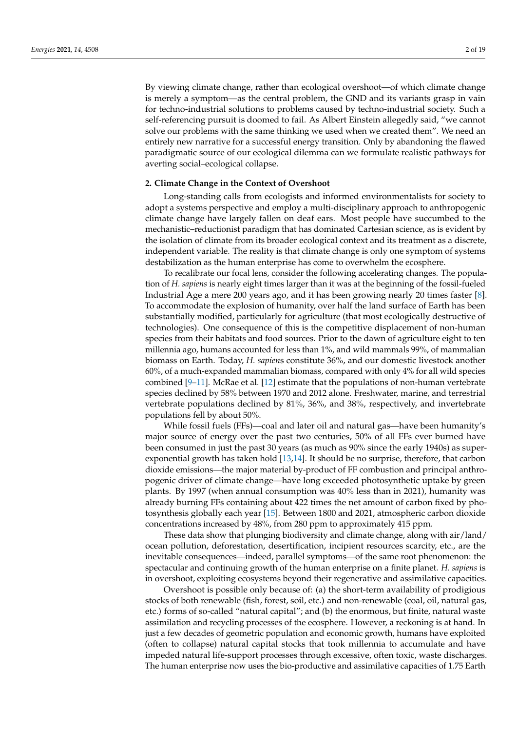By viewing climate change, rather than ecological overshoot—of which climate change is merely a symptom—as the central problem, the GND and its variants grasp in vain for techno-industrial solutions to problems caused by techno-industrial society. Such a self-referencing pursuit is doomed to fail. As Albert Einstein allegedly said, "we cannot solve our problems with the same thinking we used when we created them". We need an entirely new narrative for a successful energy transition. Only by abandoning the flawed paradigmatic source of our ecological dilemma can we formulate realistic pathways for averting social–ecological collapse.

### **2. Climate Change in the Context of Overshoot**

Long-standing calls from ecologists and informed environmentalists for society to adopt a systems perspective and employ a multi-disciplinary approach to anthropogenic climate change have largely fallen on deaf ears. Most people have succumbed to the mechanistic–reductionist paradigm that has dominated Cartesian science, as is evident by the isolation of climate from its broader ecological context and its treatment as a discrete, independent variable. The reality is that climate change is only one symptom of systems destabilization as the human enterprise has come to overwhelm the ecosphere.

To recalibrate our focal lens, consider the following accelerating changes. The population of *H. sapiens* is nearly eight times larger than it was at the beginning of the fossil-fueled Industrial Age a mere 200 years ago, and it has been growing nearly 20 times faster [\[8\]](#page-14-2). To accommodate the explosion of humanity, over half the land surface of Earth has been substantially modified, particularly for agriculture (that most ecologically destructive of technologies). One consequence of this is the competitive displacement of non-human species from their habitats and food sources. Prior to the dawn of agriculture eight to ten millennia ago, humans accounted for less than 1%, and wild mammals 99%, of mammalian biomass on Earth. Today, *H. sapien*s constitute 36%, and our domestic livestock another 60%, of a much-expanded mammalian biomass, compared with only 4% for all wild species combined [\[9](#page-15-0)[–11\]](#page-15-1). McRae et al. [\[12\]](#page-15-2) estimate that the populations of non-human vertebrate species declined by 58% between 1970 and 2012 alone. Freshwater, marine, and terrestrial vertebrate populations declined by 81%, 36%, and 38%, respectively, and invertebrate populations fell by about 50%.

While fossil fuels (FFs)—coal and later oil and natural gas—have been humanity's major source of energy over the past two centuries, 50% of all FFs ever burned have been consumed in just the past 30 years (as much as 90% since the early 1940s) as superexponential growth has taken hold [\[13](#page-15-3)[,14\]](#page-15-4). It should be no surprise, therefore, that carbon dioxide emissions—the major material by-product of FF combustion and principal anthropogenic driver of climate change—have long exceeded photosynthetic uptake by green plants. By 1997 (when annual consumption was 40% less than in 2021), humanity was already burning FFs containing about 422 times the net amount of carbon fixed by photosynthesis globally each year [\[15\]](#page-15-5). Between 1800 and 2021, atmospheric carbon dioxide concentrations increased by 48%, from 280 ppm to approximately 415 ppm.

These data show that plunging biodiversity and climate change, along with air/land/ ocean pollution, deforestation, desertification, incipient resources scarcity, etc., are the inevitable consequences—indeed, parallel symptoms—of the same root phenomenon: the spectacular and continuing growth of the human enterprise on a finite planet. *H. sapiens* is in overshoot, exploiting ecosystems beyond their regenerative and assimilative capacities.

Overshoot is possible only because of: (a) the short-term availability of prodigious stocks of both renewable (fish, forest, soil, etc.) and non-renewable (coal, oil, natural gas, etc.) forms of so-called "natural capital"; and (b) the enormous, but finite, natural waste assimilation and recycling processes of the ecosphere. However, a reckoning is at hand. In just a few decades of geometric population and economic growth, humans have exploited (often to collapse) natural capital stocks that took millennia to accumulate and have impeded natural life-support processes through excessive, often toxic, waste discharges. The human enterprise now uses the bio-productive and assimilative capacities of 1.75 Earth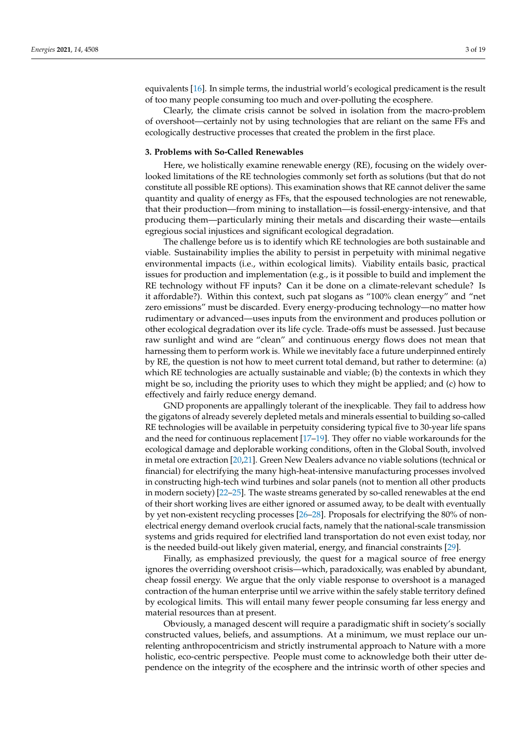equivalents [\[16\]](#page-15-6). In simple terms, the industrial world's ecological predicament is the result of too many people consuming too much and over-polluting the ecosphere.

Clearly, the climate crisis cannot be solved in isolation from the macro-problem of overshoot—certainly not by using technologies that are reliant on the same FFs and ecologically destructive processes that created the problem in the first place.

#### **3. Problems with So-Called Renewables**

Here, we holistically examine renewable energy (RE), focusing on the widely overlooked limitations of the RE technologies commonly set forth as solutions (but that do not constitute all possible RE options). This examination shows that RE cannot deliver the same quantity and quality of energy as FFs, that the espoused technologies are not renewable, that their production—from mining to installation—is fossil-energy-intensive, and that producing them—particularly mining their metals and discarding their waste—entails egregious social injustices and significant ecological degradation.

The challenge before us is to identify which RE technologies are both sustainable and viable. Sustainability implies the ability to persist in perpetuity with minimal negative environmental impacts (i.e., within ecological limits). Viability entails basic, practical issues for production and implementation (e.g., is it possible to build and implement the RE technology without FF inputs? Can it be done on a climate-relevant schedule? Is it affordable?). Within this context, such pat slogans as "100% clean energy" and "net zero emissions" must be discarded. Every energy-producing technology—no matter how rudimentary or advanced—uses inputs from the environment and produces pollution or other ecological degradation over its life cycle. Trade-offs must be assessed. Just because raw sunlight and wind are "clean" and continuous energy flows does not mean that harnessing them to perform work is. While we inevitably face a future underpinned entirely by RE, the question is not how to meet current total demand, but rather to determine: (a) which RE technologies are actually sustainable and viable; (b) the contexts in which they might be so, including the priority uses to which they might be applied; and (c) how to effectively and fairly reduce energy demand.

GND proponents are appallingly tolerant of the inexplicable. They fail to address how the gigatons of already severely depleted metals and minerals essential to building so-called RE technologies will be available in perpetuity considering typical five to 30-year life spans and the need for continuous replacement [\[17–](#page-15-7)[19\]](#page-15-8). They offer no viable workarounds for the ecological damage and deplorable working conditions, often in the Global South, involved in metal ore extraction [\[20](#page-15-9)[,21\]](#page-15-10). Green New Dealers advance no viable solutions (technical or financial) for electrifying the many high-heat-intensive manufacturing processes involved in constructing high-tech wind turbines and solar panels (not to mention all other products in modern society) [\[22–](#page-15-11)[25\]](#page-15-12). The waste streams generated by so-called renewables at the end of their short working lives are either ignored or assumed away, to be dealt with eventually by yet non-existent recycling processes [\[26–](#page-15-13)[28\]](#page-15-14). Proposals for electrifying the 80% of nonelectrical energy demand overlook crucial facts, namely that the national-scale transmission systems and grids required for electrified land transportation do not even exist today, nor is the needed build-out likely given material, energy, and financial constraints [\[29\]](#page-15-15).

Finally, as emphasized previously, the quest for a magical source of free energy ignores the overriding overshoot crisis—which, paradoxically, was enabled by abundant, cheap fossil energy. We argue that the only viable response to overshoot is a managed contraction of the human enterprise until we arrive within the safely stable territory defined by ecological limits. This will entail many fewer people consuming far less energy and material resources than at present.

Obviously, a managed descent will require a paradigmatic shift in society's socially constructed values, beliefs, and assumptions. At a minimum, we must replace our unrelenting anthropocentricism and strictly instrumental approach to Nature with a more holistic, eco-centric perspective. People must come to acknowledge both their utter dependence on the integrity of the ecosphere and the intrinsic worth of other species and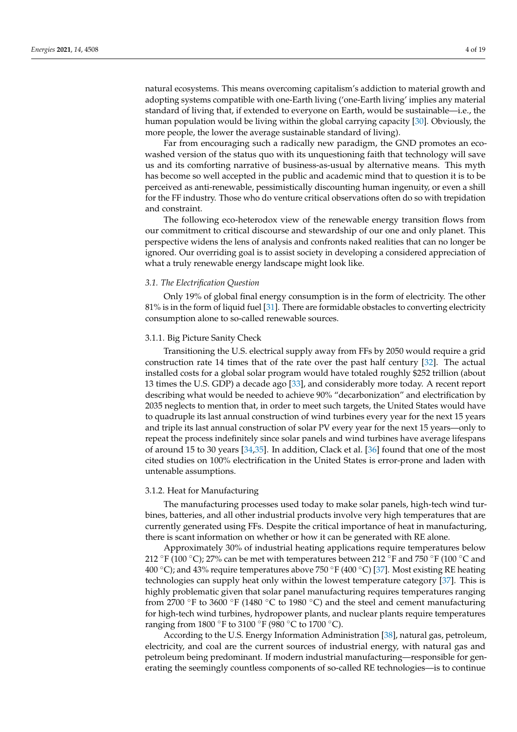natural ecosystems. This means overcoming capitalism's addiction to material growth and adopting systems compatible with one-Earth living ('one-Earth living' implies any material standard of living that, if extended to everyone on Earth, would be sustainable—i.e., the human population would be living within the global carrying capacity [\[30\]](#page-15-16). Obviously, the more people, the lower the average sustainable standard of living).

Far from encouraging such a radically new paradigm, the GND promotes an ecowashed version of the status quo with its unquestioning faith that technology will save us and its comforting narrative of business-as-usual by alternative means. This myth has become so well accepted in the public and academic mind that to question it is to be perceived as anti-renewable, pessimistically discounting human ingenuity, or even a shill for the FF industry. Those who do venture critical observations often do so with trepidation and constraint.

The following eco-heterodox view of the renewable energy transition flows from our commitment to critical discourse and stewardship of our one and only planet. This perspective widens the lens of analysis and confronts naked realities that can no longer be ignored. Our overriding goal is to assist society in developing a considered appreciation of what a truly renewable energy landscape might look like.

## *3.1. The Electrification Question*

Only 19% of global final energy consumption is in the form of electricity. The other 81% is in the form of liquid fuel [\[31\]](#page-15-17). There are formidable obstacles to converting electricity consumption alone to so-called renewable sources.

#### 3.1.1. Big Picture Sanity Check

Transitioning the U.S. electrical supply away from FFs by 2050 would require a grid construction rate 14 times that of the rate over the past half century [\[32\]](#page-15-18). The actual installed costs for a global solar program would have totaled roughly \$252 trillion (about 13 times the U.S. GDP) a decade ago [\[33\]](#page-15-19), and considerably more today. A recent report describing what would be needed to achieve 90% "decarbonization" and electrification by 2035 neglects to mention that, in order to meet such targets, the United States would have to quadruple its last annual construction of wind turbines every year for the next 15 years and triple its last annual construction of solar PV every year for the next 15 years—only to repeat the process indefinitely since solar panels and wind turbines have average lifespans of around 15 to 30 years [\[34,](#page-15-20)[35\]](#page-15-21). In addition, Clack et al. [\[36\]](#page-15-22) found that one of the most cited studies on 100% electrification in the United States is error-prone and laden with untenable assumptions.

#### 3.1.2. Heat for Manufacturing

The manufacturing processes used today to make solar panels, high-tech wind turbines, batteries, and all other industrial products involve very high temperatures that are currently generated using FFs. Despite the critical importance of heat in manufacturing, there is scant information on whether or how it can be generated with RE alone.

Approximately 30% of industrial heating applications require temperatures below 212 °F (100 °C); 27% can be met with temperatures between 212 °F and 750 °F (100 °C and 400 °C); and 43% require temperatures above 750 °F (400 °C) [\[37\]](#page-15-23). Most existing RE heating technologies can supply heat only within the lowest temperature category [\[37\]](#page-15-23). This is highly problematic given that solar panel manufacturing requires temperatures ranging from 2700 ◦F to 3600 ◦F (1480 ◦C to 1980 ◦C) and the steel and cement manufacturing for high-tech wind turbines, hydropower plants, and nuclear plants require temperatures ranging from 1800 ◦F to 3100 ◦F (980 ◦C to 1700 ◦C).

According to the U.S. Energy Information Administration [\[38\]](#page-16-0), natural gas, petroleum, electricity, and coal are the current sources of industrial energy, with natural gas and petroleum being predominant. If modern industrial manufacturing—responsible for generating the seemingly countless components of so-called RE technologies—is to continue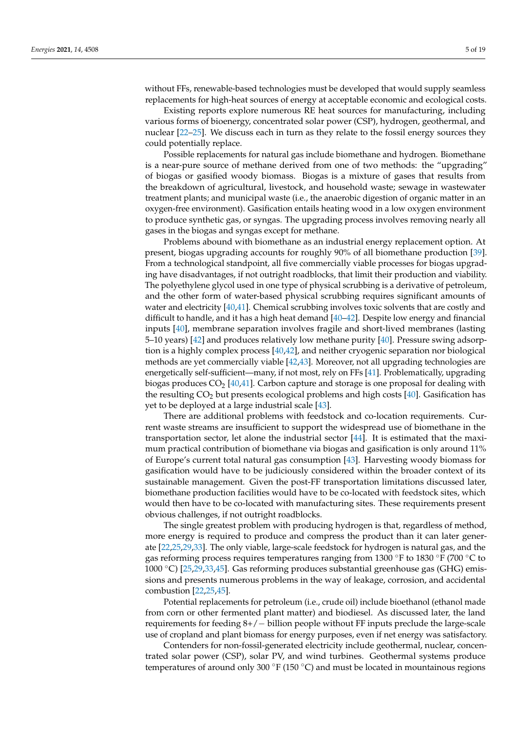without FFs, renewable-based technologies must be developed that would supply seamless replacements for high-heat sources of energy at acceptable economic and ecological costs.

Existing reports explore numerous RE heat sources for manufacturing, including various forms of bioenergy, concentrated solar power (CSP), hydrogen, geothermal, and nuclear [\[22](#page-15-11)[–25\]](#page-15-12). We discuss each in turn as they relate to the fossil energy sources they could potentially replace.

Possible replacements for natural gas include biomethane and hydrogen. Biomethane is a near-pure source of methane derived from one of two methods: the "upgrading" of biogas or gasified woody biomass. Biogas is a mixture of gases that results from the breakdown of agricultural, livestock, and household waste; sewage in wastewater treatment plants; and municipal waste (i.e., the anaerobic digestion of organic matter in an oxygen-free environment). Gasification entails heating wood in a low oxygen environment to produce synthetic gas, or syngas. The upgrading process involves removing nearly all gases in the biogas and syngas except for methane.

Problems abound with biomethane as an industrial energy replacement option. At present, biogas upgrading accounts for roughly 90% of all biomethane production [\[39\]](#page-16-1). From a technological standpoint, all five commercially viable processes for biogas upgrading have disadvantages, if not outright roadblocks, that limit their production and viability. The polyethylene glycol used in one type of physical scrubbing is a derivative of petroleum, and the other form of water-based physical scrubbing requires significant amounts of water and electricity [\[40,](#page-16-2)[41\]](#page-16-3). Chemical scrubbing involves toxic solvents that are costly and difficult to handle, and it has a high heat demand [\[40](#page-16-2)[–42\]](#page-16-4). Despite low energy and financial inputs [\[40\]](#page-16-2), membrane separation involves fragile and short-lived membranes (lasting 5–10 years) [\[42\]](#page-16-4) and produces relatively low methane purity [\[40\]](#page-16-2). Pressure swing adsorption is a highly complex process [\[40,](#page-16-2)[42\]](#page-16-4), and neither cryogenic separation nor biological methods are yet commercially viable [\[42,](#page-16-4)[43\]](#page-16-5). Moreover, not all upgrading technologies are energetically self-sufficient—many, if not most, rely on FFs [\[41\]](#page-16-3). Problematically, upgrading biogas produces  $CO_2$  [\[40,](#page-16-2)[41\]](#page-16-3). Carbon capture and storage is one proposal for dealing with the resulting  $CO<sub>2</sub>$  but presents ecological problems and high costs [\[40\]](#page-16-2). Gasification has yet to be deployed at a large industrial scale [\[43\]](#page-16-5).

There are additional problems with feedstock and co-location requirements. Current waste streams are insufficient to support the widespread use of biomethane in the transportation sector, let alone the industrial sector [\[44\]](#page-16-6). It is estimated that the maximum practical contribution of biomethane via biogas and gasification is only around 11% of Europe's current total natural gas consumption [\[43\]](#page-16-5). Harvesting woody biomass for gasification would have to be judiciously considered within the broader context of its sustainable management. Given the post-FF transportation limitations discussed later, biomethane production facilities would have to be co-located with feedstock sites, which would then have to be co-located with manufacturing sites. These requirements present obvious challenges, if not outright roadblocks.

The single greatest problem with producing hydrogen is that, regardless of method, more energy is required to produce and compress the product than it can later generate [\[22,](#page-15-11)[25,](#page-15-12)[29,](#page-15-15)[33\]](#page-15-19). The only viable, large-scale feedstock for hydrogen is natural gas, and the gas reforming process requires temperatures ranging from 1300 ◦F to 1830 ◦F (700 ◦C to 1000 ◦C) [\[25](#page-15-12)[,29](#page-15-15)[,33](#page-15-19)[,45\]](#page-16-7). Gas reforming produces substantial greenhouse gas (GHG) emissions and presents numerous problems in the way of leakage, corrosion, and accidental combustion [\[22](#page-15-11)[,25](#page-15-12)[,45\]](#page-16-7).

Potential replacements for petroleum (i.e., crude oil) include bioethanol (ethanol made from corn or other fermented plant matter) and biodiesel. As discussed later, the land requirements for feeding 8+/− billion people without FF inputs preclude the large-scale use of cropland and plant biomass for energy purposes, even if net energy was satisfactory.

Contenders for non-fossil-generated electricity include geothermal, nuclear, concentrated solar power (CSP), solar PV, and wind turbines. Geothermal systems produce temperatures of around only 300 °F (150 °C) and must be located in mountainous regions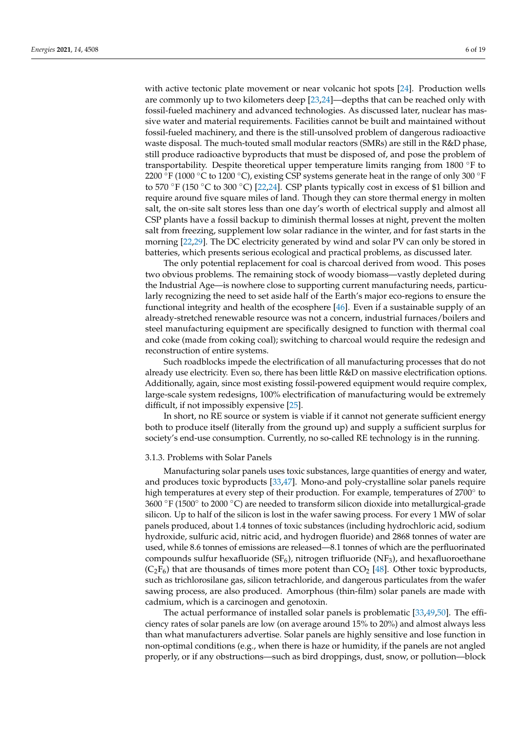with active tectonic plate movement or near volcanic hot spots [\[24\]](#page-15-24). Production wells are commonly up to two kilometers deep [\[23](#page-15-25)[,24\]](#page-15-24)—depths that can be reached only with fossil-fueled machinery and advanced technologies. As discussed later, nuclear has massive water and material requirements. Facilities cannot be built and maintained without fossil-fueled machinery, and there is the still-unsolved problem of dangerous radioactive waste disposal. The much-touted small modular reactors (SMRs) are still in the R&D phase, still produce radioactive byproducts that must be disposed of, and pose the problem of transportability. Despite theoretical upper temperature limits ranging from 1800 ◦F to 2200 °F (1000 °C to 1200 °C), existing CSP systems generate heat in the range of only 300 °F to 570 °F (150 °C to 300 °C) [\[22](#page-15-11)[,24\]](#page-15-24). CSP plants typically cost in excess of \$1 billion and require around five square miles of land. Though they can store thermal energy in molten salt, the on-site salt stores less than one day's worth of electrical supply and almost all CSP plants have a fossil backup to diminish thermal losses at night, prevent the molten salt from freezing, supplement low solar radiance in the winter, and for fast starts in the morning [\[22,](#page-15-11)[29\]](#page-15-15). The DC electricity generated by wind and solar PV can only be stored in batteries, which presents serious ecological and practical problems, as discussed later.

The only potential replacement for coal is charcoal derived from wood. This poses two obvious problems. The remaining stock of woody biomass—vastly depleted during the Industrial Age—is nowhere close to supporting current manufacturing needs, particularly recognizing the need to set aside half of the Earth's major eco-regions to ensure the functional integrity and health of the ecosphere [\[46\]](#page-16-8). Even if a sustainable supply of an already-stretched renewable resource was not a concern, industrial furnaces/boilers and steel manufacturing equipment are specifically designed to function with thermal coal and coke (made from coking coal); switching to charcoal would require the redesign and reconstruction of entire systems.

Such roadblocks impede the electrification of all manufacturing processes that do not already use electricity. Even so, there has been little R&D on massive electrification options. Additionally, again, since most existing fossil-powered equipment would require complex, large-scale system redesigns, 100% electrification of manufacturing would be extremely difficult, if not impossibly expensive [\[25\]](#page-15-12).

In short, no RE source or system is viable if it cannot not generate sufficient energy both to produce itself (literally from the ground up) and supply a sufficient surplus for society's end-use consumption. Currently, no so-called RE technology is in the running.

## 3.1.3. Problems with Solar Panels

Manufacturing solar panels uses toxic substances, large quantities of energy and water, and produces toxic byproducts [\[33](#page-15-19)[,47\]](#page-16-9). Mono-and poly-crystalline solar panels require high temperatures at every step of their production. For example, temperatures of 2700° to 3600 ◦F (1500◦ to 2000 ◦C) are needed to transform silicon dioxide into metallurgical-grade silicon. Up to half of the silicon is lost in the wafer sawing process. For every 1 MW of solar panels produced, about 1.4 tonnes of toxic substances (including hydrochloric acid, sodium hydroxide, sulfuric acid, nitric acid, and hydrogen fluoride) and 2868 tonnes of water are used, while 8.6 tonnes of emissions are released—8.1 tonnes of which are the perfluorinated compounds sulfur hexafluoride  $(SF_6)$ , nitrogen trifluoride  $(NF_3)$ , and hexafluoroethane  $(C_2F_6)$  that are thousands of times more potent than  $CO_2$  [\[48\]](#page-16-10). Other toxic byproducts, such as trichlorosilane gas, silicon tetrachloride, and dangerous particulates from the wafer sawing process, are also produced. Amorphous (thin-film) solar panels are made with cadmium, which is a carcinogen and genotoxin.

The actual performance of installed solar panels is problematic [\[33](#page-15-19)[,49](#page-16-11)[,50\]](#page-16-12). The efficiency rates of solar panels are low (on average around 15% to 20%) and almost always less than what manufacturers advertise. Solar panels are highly sensitive and lose function in non-optimal conditions (e.g., when there is haze or humidity, if the panels are not angled properly, or if any obstructions—such as bird droppings, dust, snow, or pollution—block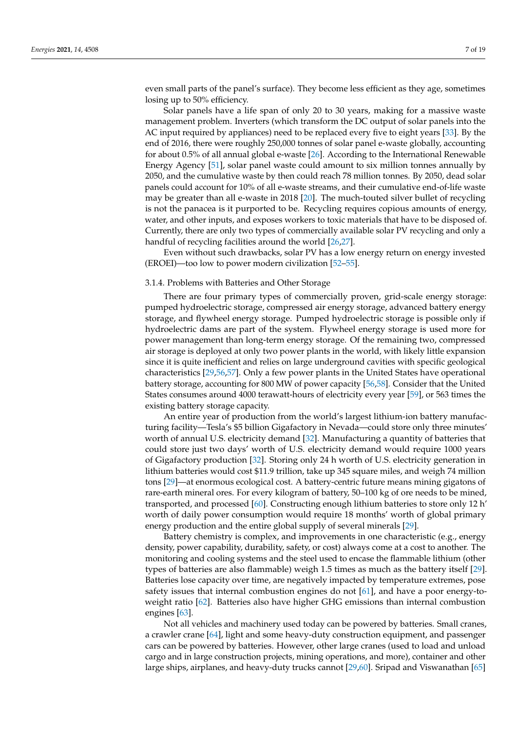even small parts of the panel's surface). They become less efficient as they age, sometimes losing up to 50% efficiency.

Solar panels have a life span of only 20 to 30 years, making for a massive waste management problem. Inverters (which transform the DC output of solar panels into the AC input required by appliances) need to be replaced every five to eight years [\[33\]](#page-15-19). By the end of 2016, there were roughly 250,000 tonnes of solar panel e-waste globally, accounting for about 0.5% of all annual global e-waste [\[26\]](#page-15-13). According to the International Renewable Energy Agency [\[51\]](#page-16-13), solar panel waste could amount to six million tonnes annually by 2050, and the cumulative waste by then could reach 78 million tonnes. By 2050, dead solar panels could account for 10% of all e-waste streams, and their cumulative end-of-life waste may be greater than all e-waste in 2018 [\[20\]](#page-15-9). The much-touted silver bullet of recycling is not the panacea is it purported to be. Recycling requires copious amounts of energy, water, and other inputs, and exposes workers to toxic materials that have to be disposed of. Currently, there are only two types of commercially available solar PV recycling and only a handful of recycling facilities around the world [\[26,](#page-15-13)[27\]](#page-15-26).

Even without such drawbacks, solar PV has a low energy return on energy invested (EROEI)—too low to power modern civilization [\[52](#page-16-14)[–55\]](#page-16-15).

## 3.1.4. Problems with Batteries and Other Storage

There are four primary types of commercially proven, grid-scale energy storage: pumped hydroelectric storage, compressed air energy storage, advanced battery energy storage, and flywheel energy storage. Pumped hydroelectric storage is possible only if hydroelectric dams are part of the system. Flywheel energy storage is used more for power management than long-term energy storage. Of the remaining two, compressed air storage is deployed at only two power plants in the world, with likely little expansion since it is quite inefficient and relies on large underground cavities with specific geological characteristics [\[29,](#page-15-15)[56,](#page-16-16)[57\]](#page-16-17). Only a few power plants in the United States have operational battery storage, accounting for 800 MW of power capacity [\[56](#page-16-16)[,58\]](#page-16-18). Consider that the United States consumes around 4000 terawatt-hours of electricity every year [\[59\]](#page-16-19), or 563 times the existing battery storage capacity.

An entire year of production from the world's largest lithium-ion battery manufacturing facility—Tesla's \$5 billion Gigafactory in Nevada—could store only three minutes' worth of annual U.S. electricity demand [\[32\]](#page-15-18). Manufacturing a quantity of batteries that could store just two days' worth of U.S. electricity demand would require 1000 years of Gigafactory production [\[32\]](#page-15-18). Storing only 24 h worth of U.S. electricity generation in lithium batteries would cost \$11.9 trillion, take up 345 square miles, and weigh 74 million tons [\[29\]](#page-15-15)—at enormous ecological cost. A battery-centric future means mining gigatons of rare-earth mineral ores. For every kilogram of battery, 50–100 kg of ore needs to be mined, transported, and processed [\[60\]](#page-16-20). Constructing enough lithium batteries to store only 12 h' worth of daily power consumption would require 18 months' worth of global primary energy production and the entire global supply of several minerals [\[29\]](#page-15-15).

Battery chemistry is complex, and improvements in one characteristic (e.g., energy density, power capability, durability, safety, or cost) always come at a cost to another. The monitoring and cooling systems and the steel used to encase the flammable lithium (other types of batteries are also flammable) weigh 1.5 times as much as the battery itself [\[29\]](#page-15-15). Batteries lose capacity over time, are negatively impacted by temperature extremes, pose safety issues that internal combustion engines do not [\[61\]](#page-16-21), and have a poor energy-toweight ratio [\[62\]](#page-16-22). Batteries also have higher GHG emissions than internal combustion engines [\[63\]](#page-16-23).

Not all vehicles and machinery used today can be powered by batteries. Small cranes, a crawler crane [\[64\]](#page-16-24), light and some heavy-duty construction equipment, and passenger cars can be powered by batteries. However, other large cranes (used to load and unload cargo and in large construction projects, mining operations, and more), container and other large ships, airplanes, and heavy-duty trucks cannot [\[29](#page-15-15)[,60\]](#page-16-20). Sripad and Viswanathan [\[65\]](#page-17-0)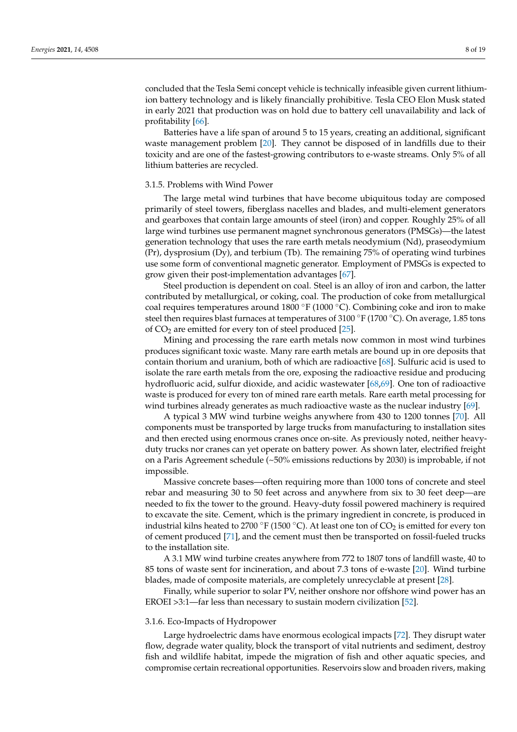concluded that the Tesla Semi concept vehicle is technically infeasible given current lithiumion battery technology and is likely financially prohibitive. Tesla CEO Elon Musk stated in early 2021 that production was on hold due to battery cell unavailability and lack of profitability [\[66\]](#page-17-1).

Batteries have a life span of around 5 to 15 years, creating an additional, significant waste management problem [\[20\]](#page-15-9). They cannot be disposed of in landfills due to their toxicity and are one of the fastest-growing contributors to e-waste streams. Only 5% of all lithium batteries are recycled.

## 3.1.5. Problems with Wind Power

The large metal wind turbines that have become ubiquitous today are composed primarily of steel towers, fiberglass nacelles and blades, and multi-element generators and gearboxes that contain large amounts of steel (iron) and copper. Roughly 25% of all large wind turbines use permanent magnet synchronous generators (PMSGs)—the latest generation technology that uses the rare earth metals neodymium (Nd), praseodymium (Pr), dysprosium (Dy), and terbium (Tb). The remaining 75% of operating wind turbines use some form of conventional magnetic generator. Employment of PMSGs is expected to grow given their post-implementation advantages [\[67\]](#page-17-2).

Steel production is dependent on coal. Steel is an alloy of iron and carbon, the latter contributed by metallurgical, or coking, coal. The production of coke from metallurgical coal requires temperatures around 1800 °F (1000 °C). Combining coke and iron to make steel then requires blast furnaces at temperatures of 3100 °F (1700 °C). On average, 1.85 tons of  $CO<sub>2</sub>$  are emitted for every ton of steel produced [\[25\]](#page-15-12).

Mining and processing the rare earth metals now common in most wind turbines produces significant toxic waste. Many rare earth metals are bound up in ore deposits that contain thorium and uranium, both of which are radioactive [\[68\]](#page-17-3). Sulfuric acid is used to isolate the rare earth metals from the ore, exposing the radioactive residue and producing hydrofluoric acid, sulfur dioxide, and acidic wastewater [\[68,](#page-17-3)[69\]](#page-17-4). One ton of radioactive waste is produced for every ton of mined rare earth metals. Rare earth metal processing for wind turbines already generates as much radioactive waste as the nuclear industry [\[69\]](#page-17-4).

A typical 3 MW wind turbine weighs anywhere from 430 to 1200 tonnes [\[70\]](#page-17-5). All components must be transported by large trucks from manufacturing to installation sites and then erected using enormous cranes once on-site. As previously noted, neither heavyduty trucks nor cranes can yet operate on battery power. As shown later, electrified freight on a Paris Agreement schedule (~50% emissions reductions by 2030) is improbable, if not impossible.

Massive concrete bases—often requiring more than 1000 tons of concrete and steel rebar and measuring 30 to 50 feet across and anywhere from six to 30 feet deep—are needed to fix the tower to the ground. Heavy-duty fossil powered machinery is required to excavate the site. Cement, which is the primary ingredient in concrete, is produced in industrial kilns heated to 2700 °F (1500 °C). At least one ton of  $CO_2$  is emitted for every ton of cement produced [\[71\]](#page-17-6), and the cement must then be transported on fossil-fueled trucks to the installation site.

A 3.1 MW wind turbine creates anywhere from 772 to 1807 tons of landfill waste, 40 to 85 tons of waste sent for incineration, and about 7.3 tons of e-waste [\[20\]](#page-15-9). Wind turbine blades, made of composite materials, are completely unrecyclable at present [\[28\]](#page-15-14).

Finally, while superior to solar PV, neither onshore nor offshore wind power has an EROEI >3:1—far less than necessary to sustain modern civilization [\[52\]](#page-16-14).

## 3.1.6. Eco-Impacts of Hydropower

Large hydroelectric dams have enormous ecological impacts [\[72\]](#page-17-7). They disrupt water flow, degrade water quality, block the transport of vital nutrients and sediment, destroy fish and wildlife habitat, impede the migration of fish and other aquatic species, and compromise certain recreational opportunities. Reservoirs slow and broaden rivers, making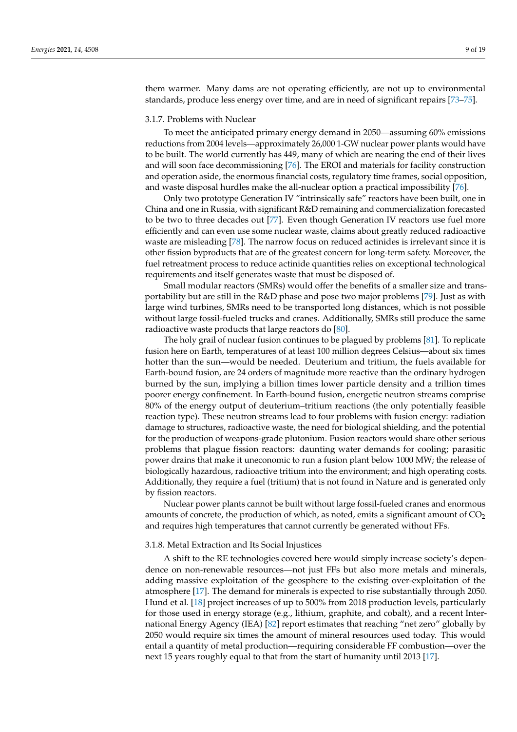them warmer. Many dams are not operating efficiently, are not up to environmental standards, produce less energy over time, and are in need of significant repairs [\[73](#page-17-8)[–75\]](#page-17-9).

### 3.1.7. Problems with Nuclear

To meet the anticipated primary energy demand in 2050—assuming 60% emissions reductions from 2004 levels—approximately 26,000 1-GW nuclear power plants would have to be built. The world currently has 449, many of which are nearing the end of their lives and will soon face decommissioning [\[76\]](#page-17-10). The EROI and materials for facility construction and operation aside, the enormous financial costs, regulatory time frames, social opposition, and waste disposal hurdles make the all-nuclear option a practical impossibility [\[76\]](#page-17-10).

Only two prototype Generation IV "intrinsically safe" reactors have been built, one in China and one in Russia, with significant R&D remaining and commercialization forecasted to be two to three decades out [\[77\]](#page-17-11). Even though Generation IV reactors use fuel more efficiently and can even use some nuclear waste, claims about greatly reduced radioactive waste are misleading [\[78\]](#page-17-12). The narrow focus on reduced actinides is irrelevant since it is other fission byproducts that are of the greatest concern for long-term safety. Moreover, the fuel retreatment process to reduce actinide quantities relies on exceptional technological requirements and itself generates waste that must be disposed of.

Small modular reactors (SMRs) would offer the benefits of a smaller size and transportability but are still in the R&D phase and pose two major problems [\[79\]](#page-17-13). Just as with large wind turbines, SMRs need to be transported long distances, which is not possible without large fossil-fueled trucks and cranes. Additionally, SMRs still produce the same radioactive waste products that large reactors do [\[80\]](#page-17-14).

The holy grail of nuclear fusion continues to be plagued by problems [\[81\]](#page-17-15). To replicate fusion here on Earth, temperatures of at least 100 million degrees Celsius—about six times hotter than the sun—would be needed. Deuterium and tritium, the fuels available for Earth-bound fusion, are 24 orders of magnitude more reactive than the ordinary hydrogen burned by the sun, implying a billion times lower particle density and a trillion times poorer energy confinement. In Earth-bound fusion, energetic neutron streams comprise 80% of the energy output of deuterium–tritium reactions (the only potentially feasible reaction type). These neutron streams lead to four problems with fusion energy: radiation damage to structures, radioactive waste, the need for biological shielding, and the potential for the production of weapons-grade plutonium. Fusion reactors would share other serious problems that plague fission reactors: daunting water demands for cooling; parasitic power drains that make it uneconomic to run a fusion plant below 1000 MW; the release of biologically hazardous, radioactive tritium into the environment; and high operating costs. Additionally, they require a fuel (tritium) that is not found in Nature and is generated only by fission reactors.

Nuclear power plants cannot be built without large fossil-fueled cranes and enormous amounts of concrete, the production of which, as noted, emits a significant amount of  $CO<sub>2</sub>$ and requires high temperatures that cannot currently be generated without FFs.

#### 3.1.8. Metal Extraction and Its Social Injustices

A shift to the RE technologies covered here would simply increase society's dependence on non-renewable resources—not just FFs but also more metals and minerals, adding massive exploitation of the geosphere to the existing over-exploitation of the atmosphere [\[17\]](#page-15-7). The demand for minerals is expected to rise substantially through 2050. Hund et al. [\[18\]](#page-15-27) project increases of up to 500% from 2018 production levels, particularly for those used in energy storage (e.g., lithium, graphite, and cobalt), and a recent International Energy Agency (IEA) [\[82\]](#page-17-16) report estimates that reaching "net zero" globally by 2050 would require six times the amount of mineral resources used today. This would entail a quantity of metal production—requiring considerable FF combustion—over the next 15 years roughly equal to that from the start of humanity until 2013 [\[17\]](#page-15-7).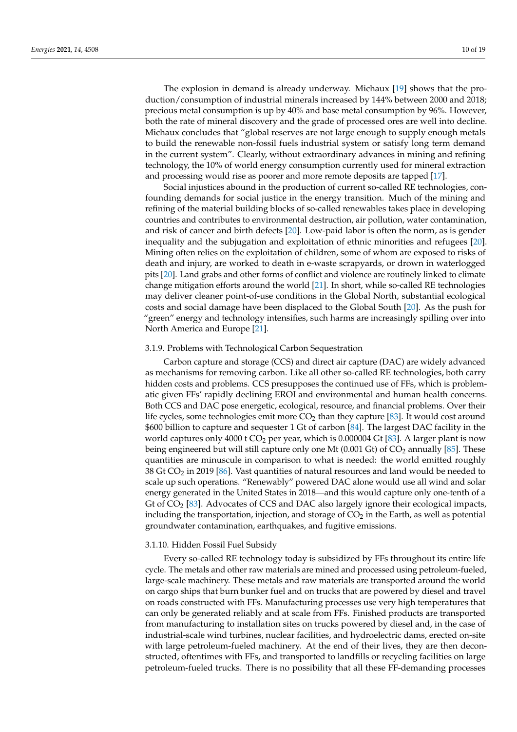The explosion in demand is already underway. Michaux [\[19\]](#page-15-8) shows that the production/consumption of industrial minerals increased by 144% between 2000 and 2018; precious metal consumption is up by 40% and base metal consumption by 96%. However, both the rate of mineral discovery and the grade of processed ores are well into decline. Michaux concludes that "global reserves are not large enough to supply enough metals to build the renewable non-fossil fuels industrial system or satisfy long term demand in the current system". Clearly, without extraordinary advances in mining and refining technology, the 10% of world energy consumption currently used for mineral extraction and processing would rise as poorer and more remote deposits are tapped [\[17\]](#page-15-7).

Social injustices abound in the production of current so-called RE technologies, confounding demands for social justice in the energy transition. Much of the mining and refining of the material building blocks of so-called renewables takes place in developing countries and contributes to environmental destruction, air pollution, water contamination, and risk of cancer and birth defects [\[20\]](#page-15-9). Low-paid labor is often the norm, as is gender inequality and the subjugation and exploitation of ethnic minorities and refugees [\[20\]](#page-15-9). Mining often relies on the exploitation of children, some of whom are exposed to risks of death and injury, are worked to death in e-waste scrapyards, or drown in waterlogged pits [\[20\]](#page-15-9). Land grabs and other forms of conflict and violence are routinely linked to climate change mitigation efforts around the world [\[21\]](#page-15-10). In short, while so-called RE technologies may deliver cleaner point-of-use conditions in the Global North, substantial ecological costs and social damage have been displaced to the Global South [\[20\]](#page-15-9). As the push for "green" energy and technology intensifies, such harms are increasingly spilling over into North America and Europe [\[21\]](#page-15-10).

## 3.1.9. Problems with Technological Carbon Sequestration

Carbon capture and storage (CCS) and direct air capture (DAC) are widely advanced as mechanisms for removing carbon. Like all other so-called RE technologies, both carry hidden costs and problems. CCS presupposes the continued use of FFs, which is problematic given FFs' rapidly declining EROI and environmental and human health concerns. Both CCS and DAC pose energetic, ecological, resource, and financial problems. Over their life cycles, some technologies emit more  $CO<sub>2</sub>$  than they capture [\[83\]](#page-17-17). It would cost around \$600 billion to capture and sequester 1 Gt of carbon [\[84\]](#page-17-18). The largest DAC facility in the world captures only 4000 t  $CO<sub>2</sub>$  per year, which is 0.000004 Gt [\[83\]](#page-17-17). A larger plant is now being engineered but will still capture only one Mt (0.001 Gt) of  $CO<sub>2</sub>$  annually [\[85\]](#page-17-19). These quantities are minuscule in comparison to what is needed: the world emitted roughly 38 Gt  $CO<sub>2</sub>$  in 2019 [\[86\]](#page-17-20). Vast quantities of natural resources and land would be needed to scale up such operations. "Renewably" powered DAC alone would use all wind and solar energy generated in the United States in 2018—and this would capture only one-tenth of a Gt of  $CO<sub>2</sub>$  [\[83\]](#page-17-17). Advocates of CCS and DAC also largely ignore their ecological impacts, including the transportation, injection, and storage of  $CO<sub>2</sub>$  in the Earth, as well as potential groundwater contamination, earthquakes, and fugitive emissions.

#### 3.1.10. Hidden Fossil Fuel Subsidy

Every so-called RE technology today is subsidized by FFs throughout its entire life cycle. The metals and other raw materials are mined and processed using petroleum-fueled, large-scale machinery. These metals and raw materials are transported around the world on cargo ships that burn bunker fuel and on trucks that are powered by diesel and travel on roads constructed with FFs. Manufacturing processes use very high temperatures that can only be generated reliably and at scale from FFs. Finished products are transported from manufacturing to installation sites on trucks powered by diesel and, in the case of industrial-scale wind turbines, nuclear facilities, and hydroelectric dams, erected on-site with large petroleum-fueled machinery. At the end of their lives, they are then deconstructed, oftentimes with FFs, and transported to landfills or recycling facilities on large petroleum-fueled trucks. There is no possibility that all these FF-demanding processes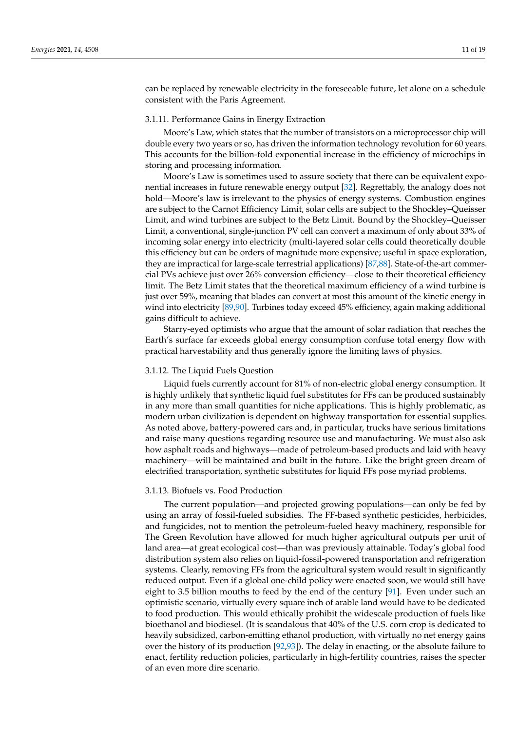can be replaced by renewable electricity in the foreseeable future, let alone on a schedule consistent with the Paris Agreement.

## 3.1.11. Performance Gains in Energy Extraction

Moore's Law, which states that the number of transistors on a microprocessor chip will double every two years or so, has driven the information technology revolution for 60 years. This accounts for the billion-fold exponential increase in the efficiency of microchips in storing and processing information.

Moore's Law is sometimes used to assure society that there can be equivalent exponential increases in future renewable energy output [\[32\]](#page-15-18). Regrettably, the analogy does not hold—Moore's law is irrelevant to the physics of energy systems. Combustion engines are subject to the Carnot Efficiency Limit, solar cells are subject to the Shockley–Queisser Limit, and wind turbines are subject to the Betz Limit. Bound by the Shockley–Queisser Limit, a conventional, single-junction PV cell can convert a maximum of only about 33% of incoming solar energy into electricity (multi-layered solar cells could theoretically double this efficiency but can be orders of magnitude more expensive; useful in space exploration, they are impractical for large-scale terrestrial applications) [\[87](#page-17-21)[,88\]](#page-17-22). State-of-the-art commercial PVs achieve just over 26% conversion efficiency—close to their theoretical efficiency limit. The Betz Limit states that the theoretical maximum efficiency of a wind turbine is just over 59%, meaning that blades can convert at most this amount of the kinetic energy in wind into electricity [\[89](#page-17-23)[,90\]](#page-17-24). Turbines today exceed 45% efficiency, again making additional gains difficult to achieve.

Starry-eyed optimists who argue that the amount of solar radiation that reaches the Earth's surface far exceeds global energy consumption confuse total energy flow with practical harvestability and thus generally ignore the limiting laws of physics.

#### 3.1.12. The Liquid Fuels Question

Liquid fuels currently account for 81% of non-electric global energy consumption. It is highly unlikely that synthetic liquid fuel substitutes for FFs can be produced sustainably in any more than small quantities for niche applications. This is highly problematic, as modern urban civilization is dependent on highway transportation for essential supplies. As noted above, battery-powered cars and, in particular, trucks have serious limitations and raise many questions regarding resource use and manufacturing. We must also ask how asphalt roads and highways—made of petroleum-based products and laid with heavy machinery—will be maintained and built in the future. Like the bright green dream of electrified transportation, synthetic substitutes for liquid FFs pose myriad problems.

## 3.1.13. Biofuels vs. Food Production

The current population—and projected growing populations—can only be fed by using an array of fossil-fueled subsidies. The FF-based synthetic pesticides, herbicides, and fungicides, not to mention the petroleum-fueled heavy machinery, responsible for The Green Revolution have allowed for much higher agricultural outputs per unit of land area—at great ecological cost—than was previously attainable. Today's global food distribution system also relies on liquid-fossil-powered transportation and refrigeration systems. Clearly, removing FFs from the agricultural system would result in significantly reduced output. Even if a global one-child policy were enacted soon, we would still have eight to 3.5 billion mouths to feed by the end of the century [\[91\]](#page-17-25). Even under such an optimistic scenario, virtually every square inch of arable land would have to be dedicated to food production. This would ethically prohibit the widescale production of fuels like bioethanol and biodiesel. (It is scandalous that 40% of the U.S. corn crop is dedicated to heavily subsidized, carbon-emitting ethanol production, with virtually no net energy gains over the history of its production [\[92](#page-17-26)[,93\]](#page-18-0)). The delay in enacting, or the absolute failure to enact, fertility reduction policies, particularly in high-fertility countries, raises the specter of an even more dire scenario.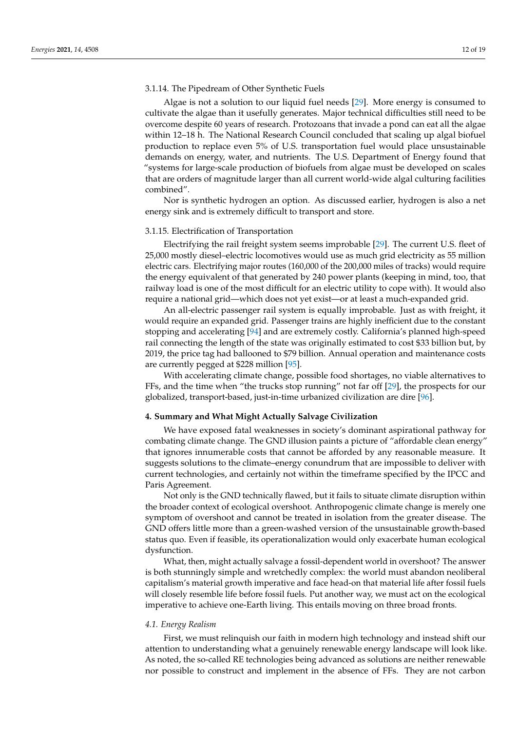## 3.1.14. The Pipedream of Other Synthetic Fuels

Algae is not a solution to our liquid fuel needs [\[29\]](#page-15-15). More energy is consumed to cultivate the algae than it usefully generates. Major technical difficulties still need to be overcome despite 60 years of research. Protozoans that invade a pond can eat all the algae within 12–18 h. The National Research Council concluded that scaling up algal biofuel production to replace even 5% of U.S. transportation fuel would place unsustainable demands on energy, water, and nutrients. The U.S. Department of Energy found that "systems for large-scale production of biofuels from algae must be developed on scales that are orders of magnitude larger than all current world-wide algal culturing facilities combined".

Nor is synthetic hydrogen an option. As discussed earlier, hydrogen is also a net energy sink and is extremely difficult to transport and store.

#### 3.1.15. Electrification of Transportation

Electrifying the rail freight system seems improbable [\[29\]](#page-15-15). The current U.S. fleet of 25,000 mostly diesel–electric locomotives would use as much grid electricity as 55 million electric cars. Electrifying major routes (160,000 of the 200,000 miles of tracks) would require the energy equivalent of that generated by 240 power plants (keeping in mind, too, that railway load is one of the most difficult for an electric utility to cope with). It would also require a national grid—which does not yet exist—or at least a much-expanded grid.

An all-electric passenger rail system is equally improbable. Just as with freight, it would require an expanded grid. Passenger trains are highly inefficient due to the constant stopping and accelerating [\[94\]](#page-18-1) and are extremely costly. California's planned high-speed rail connecting the length of the state was originally estimated to cost \$33 billion but, by 2019, the price tag had ballooned to \$79 billion. Annual operation and maintenance costs are currently pegged at \$228 million [\[95\]](#page-18-2).

With accelerating climate change, possible food shortages, no viable alternatives to FFs, and the time when "the trucks stop running" not far off [\[29\]](#page-15-15), the prospects for our globalized, transport-based, just-in-time urbanized civilization are dire [\[96\]](#page-18-3).

# **4. Summary and What Might Actually Salvage Civilization**

We have exposed fatal weaknesses in society's dominant aspirational pathway for combating climate change. The GND illusion paints a picture of "affordable clean energy" that ignores innumerable costs that cannot be afforded by any reasonable measure. It suggests solutions to the climate–energy conundrum that are impossible to deliver with current technologies, and certainly not within the timeframe specified by the IPCC and Paris Agreement.

Not only is the GND technically flawed, but it fails to situate climate disruption within the broader context of ecological overshoot. Anthropogenic climate change is merely one symptom of overshoot and cannot be treated in isolation from the greater disease. The GND offers little more than a green-washed version of the unsustainable growth-based status quo. Even if feasible, its operationalization would only exacerbate human ecological dysfunction.

What, then, might actually salvage a fossil-dependent world in overshoot? The answer is both stunningly simple and wretchedly complex: the world must abandon neoliberal capitalism's material growth imperative and face head-on that material life after fossil fuels will closely resemble life before fossil fuels. Put another way, we must act on the ecological imperative to achieve one-Earth living. This entails moving on three broad fronts.

#### *4.1. Energy Realism*

First, we must relinquish our faith in modern high technology and instead shift our attention to understanding what a genuinely renewable energy landscape will look like. As noted, the so-called RE technologies being advanced as solutions are neither renewable nor possible to construct and implement in the absence of FFs. They are not carbon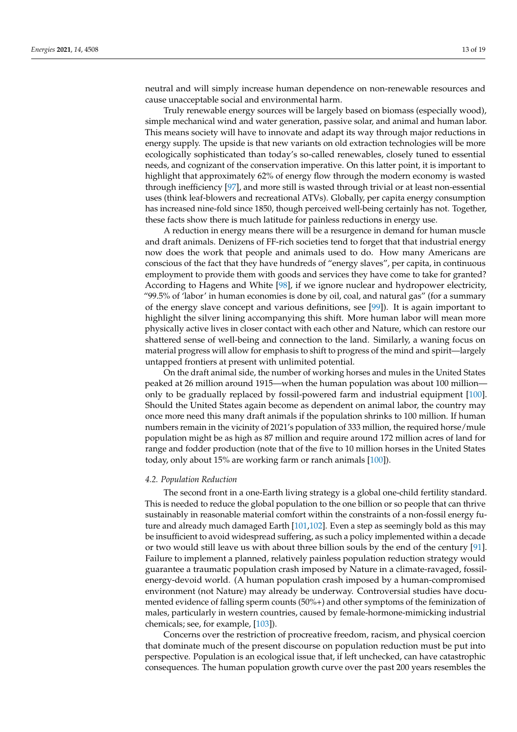neutral and will simply increase human dependence on non-renewable resources and cause unacceptable social and environmental harm.

Truly renewable energy sources will be largely based on biomass (especially wood), simple mechanical wind and water generation, passive solar, and animal and human labor. This means society will have to innovate and adapt its way through major reductions in energy supply. The upside is that new variants on old extraction technologies will be more ecologically sophisticated than today's so-called renewables, closely tuned to essential needs, and cognizant of the conservation imperative. On this latter point, it is important to highlight that approximately 62% of energy flow through the modern economy is wasted through inefficiency [\[97\]](#page-18-4), and more still is wasted through trivial or at least non-essential uses (think leaf-blowers and recreational ATVs). Globally, per capita energy consumption has increased nine-fold since 1850, though perceived well-being certainly has not. Together, these facts show there is much latitude for painless reductions in energy use.

A reduction in energy means there will be a resurgence in demand for human muscle and draft animals. Denizens of FF-rich societies tend to forget that that industrial energy now does the work that people and animals used to do. How many Americans are conscious of the fact that they have hundreds of "energy slaves", per capita, in continuous employment to provide them with goods and services they have come to take for granted? According to Hagens and White [\[98\]](#page-18-5), if we ignore nuclear and hydropower electricity, "99.5% of 'labor' in human economies is done by oil, coal, and natural gas" (for a summary of the energy slave concept and various definitions, see [\[99\]](#page-18-6)). It is again important to highlight the silver lining accompanying this shift. More human labor will mean more physically active lives in closer contact with each other and Nature, which can restore our shattered sense of well-being and connection to the land. Similarly, a waning focus on material progress will allow for emphasis to shift to progress of the mind and spirit—largely untapped frontiers at present with unlimited potential.

On the draft animal side, the number of working horses and mules in the United States peaked at 26 million around 1915—when the human population was about 100 million only to be gradually replaced by fossil-powered farm and industrial equipment [\[100\]](#page-18-7). Should the United States again become as dependent on animal labor, the country may once more need this many draft animals if the population shrinks to 100 million. If human numbers remain in the vicinity of 2021's population of 333 million, the required horse/mule population might be as high as 87 million and require around 172 million acres of land for range and fodder production (note that of the five to 10 million horses in the United States today, only about 15% are working farm or ranch animals [\[100\]](#page-18-7)).

#### *4.2. Population Reduction*

The second front in a one-Earth living strategy is a global one-child fertility standard. This is needed to reduce the global population to the one billion or so people that can thrive sustainably in reasonable material comfort within the constraints of a non-fossil energy future and already much damaged Earth [\[101](#page-18-8)[,102\]](#page-18-9). Even a step as seemingly bold as this may be insufficient to avoid widespread suffering, as such a policy implemented within a decade or two would still leave us with about three billion souls by the end of the century [\[91\]](#page-17-25). Failure to implement a planned, relatively painless population reduction strategy would guarantee a traumatic population crash imposed by Nature in a climate-ravaged, fossilenergy-devoid world. (A human population crash imposed by a human-compromised environment (not Nature) may already be underway. Controversial studies have documented evidence of falling sperm counts (50%+) and other symptoms of the feminization of males, particularly in western countries, caused by female-hormone-mimicking industrial chemicals; see, for example, [\[103\]](#page-18-10)).

Concerns over the restriction of procreative freedom, racism, and physical coercion that dominate much of the present discourse on population reduction must be put into perspective. Population is an ecological issue that, if left unchecked, can have catastrophic consequences. The human population growth curve over the past 200 years resembles the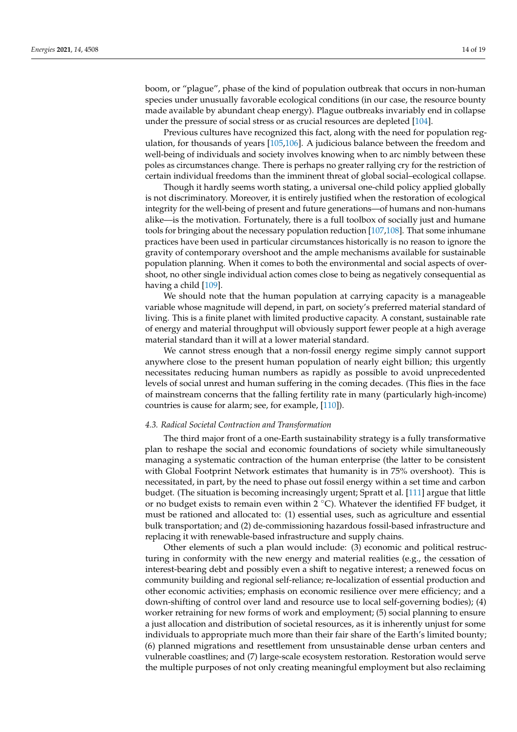boom, or "plague", phase of the kind of population outbreak that occurs in non-human species under unusually favorable ecological conditions (in our case, the resource bounty made available by abundant cheap energy). Plague outbreaks invariably end in collapse under the pressure of social stress or as crucial resources are depleted [\[104\]](#page-18-11).

Previous cultures have recognized this fact, along with the need for population regulation, for thousands of years  $[105,106]$  $[105,106]$ . A judicious balance between the freedom and well-being of individuals and society involves knowing when to arc nimbly between these poles as circumstances change. There is perhaps no greater rallying cry for the restriction of certain individual freedoms than the imminent threat of global social–ecological collapse.

Though it hardly seems worth stating, a universal one-child policy applied globally is not discriminatory. Moreover, it is entirely justified when the restoration of ecological integrity for the well-being of present and future generations—of humans and non-humans alike—is the motivation. Fortunately, there is a full toolbox of socially just and humane tools for bringing about the necessary population reduction [\[107](#page-18-14)[,108\]](#page-18-15). That some inhumane practices have been used in particular circumstances historically is no reason to ignore the gravity of contemporary overshoot and the ample mechanisms available for sustainable population planning. When it comes to both the environmental and social aspects of overshoot, no other single individual action comes close to being as negatively consequential as having a child [\[109\]](#page-18-16).

We should note that the human population at carrying capacity is a manageable variable whose magnitude will depend, in part, on society's preferred material standard of living. This is a finite planet with limited productive capacity. A constant, sustainable rate of energy and material throughput will obviously support fewer people at a high average material standard than it will at a lower material standard.

We cannot stress enough that a non-fossil energy regime simply cannot support anywhere close to the present human population of nearly eight billion; this urgently necessitates reducing human numbers as rapidly as possible to avoid unprecedented levels of social unrest and human suffering in the coming decades. (This flies in the face of mainstream concerns that the falling fertility rate in many (particularly high-income) countries is cause for alarm; see, for example, [\[110\]](#page-18-17)).

## *4.3. Radical Societal Contraction and Transformation*

The third major front of a one-Earth sustainability strategy is a fully transformative plan to reshape the social and economic foundations of society while simultaneously managing a systematic contraction of the human enterprise (the latter to be consistent with Global Footprint Network estimates that humanity is in 75% overshoot). This is necessitated, in part, by the need to phase out fossil energy within a set time and carbon budget. (The situation is becoming increasingly urgent; Spratt et al. [\[111\]](#page-18-18) argue that little or no budget exists to remain even within  $2 °C$ ). Whatever the identified FF budget, it must be rationed and allocated to: (1) essential uses, such as agriculture and essential bulk transportation; and (2) de-commissioning hazardous fossil-based infrastructure and replacing it with renewable-based infrastructure and supply chains.

Other elements of such a plan would include: (3) economic and political restructuring in conformity with the new energy and material realities (e.g., the cessation of interest-bearing debt and possibly even a shift to negative interest; a renewed focus on community building and regional self-reliance; re-localization of essential production and other economic activities; emphasis on economic resilience over mere efficiency; and a down-shifting of control over land and resource use to local self-governing bodies); (4) worker retraining for new forms of work and employment; (5) social planning to ensure a just allocation and distribution of societal resources, as it is inherently unjust for some individuals to appropriate much more than their fair share of the Earth's limited bounty; (6) planned migrations and resettlement from unsustainable dense urban centers and vulnerable coastlines; and (7) large-scale ecosystem restoration. Restoration would serve the multiple purposes of not only creating meaningful employment but also reclaiming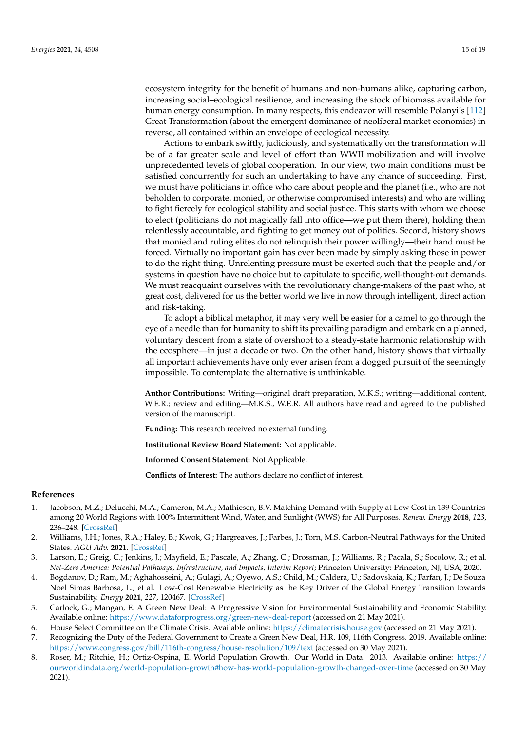ecosystem integrity for the benefit of humans and non-humans alike, capturing carbon, increasing social–ecological resilience, and increasing the stock of biomass available for human energy consumption. In many respects, this endeavor will resemble Polanyi's [\[112\]](#page-18-19) Great Transformation (about the emergent dominance of neoliberal market economics) in reverse, all contained within an envelope of ecological necessity.

Actions to embark swiftly, judiciously, and systematically on the transformation will be of a far greater scale and level of effort than WWII mobilization and will involve unprecedented levels of global cooperation. In our view, two main conditions must be satisfied concurrently for such an undertaking to have any chance of succeeding. First, we must have politicians in office who care about people and the planet (i.e., who are not beholden to corporate, monied, or otherwise compromised interests) and who are willing to fight fiercely for ecological stability and social justice. This starts with whom we choose to elect (politicians do not magically fall into office—we put them there), holding them relentlessly accountable, and fighting to get money out of politics. Second, history shows that monied and ruling elites do not relinquish their power willingly—their hand must be forced. Virtually no important gain has ever been made by simply asking those in power to do the right thing. Unrelenting pressure must be exerted such that the people and/or systems in question have no choice but to capitulate to specific, well-thought-out demands. We must reacquaint ourselves with the revolutionary change-makers of the past who, at great cost, delivered for us the better world we live in now through intelligent, direct action and risk-taking.

To adopt a biblical metaphor, it may very well be easier for a camel to go through the eye of a needle than for humanity to shift its prevailing paradigm and embark on a planned, voluntary descent from a state of overshoot to a steady-state harmonic relationship with the ecosphere—in just a decade or two. On the other hand, history shows that virtually all important achievements have only ever arisen from a dogged pursuit of the seemingly impossible. To contemplate the alternative is unthinkable.

**Author Contributions:** Writing—original draft preparation, M.K.S.; writing—additional content, W.E.R.; review and editing—M.K.S., W.E.R. All authors have read and agreed to the published version of the manuscript.

**Funding:** This research received no external funding.

**Institutional Review Board Statement:** Not applicable.

**Informed Consent Statement:** Not Applicable.

**Conflicts of Interest:** The authors declare no conflict of interest.

#### **References**

- <span id="page-14-0"></span>1. Jacobson, M.Z.; Delucchi, M.A.; Cameron, M.A.; Mathiesen, B.V. Matching Demand with Supply at Low Cost in 139 Countries among 20 World Regions with 100% Intermittent Wind, Water, and Sunlight (WWS) for All Purposes. *Renew. Energy* **2018**, *123*, 236–248. [\[CrossRef\]](http://doi.org/10.1016/j.renene.2018.02.009)
- 2. Williams, J.H.; Jones, R.A.; Haley, B.; Kwok, G.; Hargreaves, J.; Farbes, J.; Torn, M.S. Carbon-Neutral Pathways for the United States. *AGU Adv.* **2021**. [\[CrossRef\]](http://doi.org/10.1029/2020AV000284)
- 3. Larson, E.; Greig, C.; Jenkins, J.; Mayfield, E.; Pascale, A.; Zhang, C.; Drossman, J.; Williams, R.; Pacala, S.; Socolow, R.; et al. *Net-Zero America: Potential Pathways, Infrastructure, and Impacts, Interim Report*; Princeton University: Princeton, NJ, USA, 2020.
- 4. Bogdanov, D.; Ram, M.; Aghahosseini, A.; Gulagi, A.; Oyewo, A.S.; Child, M.; Caldera, U.; Sadovskaia, K.; Farfan, J.; De Souza Noel Simas Barbosa, L.; et al. Low-Cost Renewable Electricity as the Key Driver of the Global Energy Transition towards Sustainability. *Energy* **2021**, *227*, 120467. [\[CrossRef\]](http://doi.org/10.1016/j.energy.2021.120467)
- 5. Carlock, G.; Mangan, E. A Green New Deal: A Progressive Vision for Environmental Sustainability and Economic Stability. Available online: <https://www.dataforprogress.org/green-new-deal-report> (accessed on 21 May 2021).
- 6. House Select Committee on the Climate Crisis. Available online: <https://climatecrisis.house.gov> (accessed on 21 May 2021).
- <span id="page-14-1"></span>7. Recognizing the Duty of the Federal Government to Create a Green New Deal, H.R. 109, 116th Congress. 2019. Available online: <https://www.congress.gov/bill/116th-congress/house-resolution/109/text> (accessed on 30 May 2021).
- <span id="page-14-2"></span>8. Roser, M.; Ritchie, H.; Ortiz-Ospina, E. World Population Growth. Our World in Data. 2013. Available online: [https://](https://ourworldindata.org/world-population-growth#how-has-world-population-growth-changed-over-time) [ourworldindata.org/world-population-growth#how-has-world-population-growth-changed-over-time](https://ourworldindata.org/world-population-growth#how-has-world-population-growth-changed-over-time) (accessed on 30 May 2021).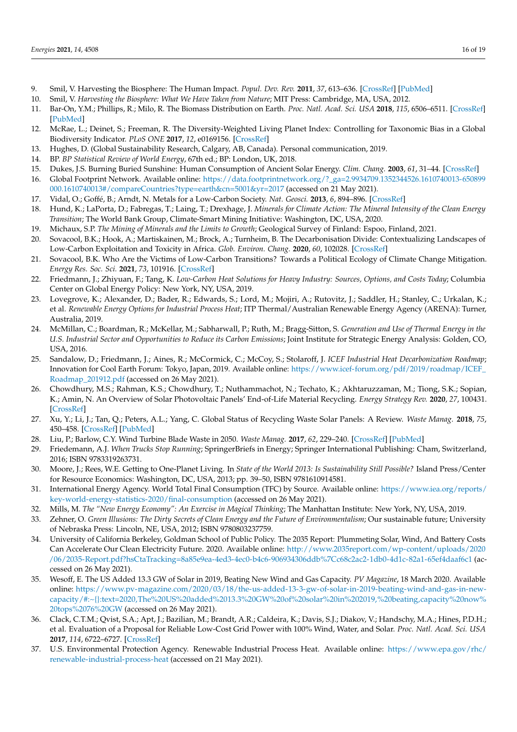- <span id="page-15-0"></span>9. Smil, V. Harvesting the Biosphere: The Human Impact. *Popul. Dev. Rev.* **2011**, *37*, 613–636. [\[CrossRef\]](http://doi.org/10.1111/j.1728-4457.2011.00450.x) [\[PubMed\]](http://www.ncbi.nlm.nih.gov/pubmed/22319767)
- 10. Smil, V. *Harvesting the Biosphere: What We Have Taken from Nature*; MIT Press: Cambridge, MA, USA, 2012.
- <span id="page-15-1"></span>11. Bar-On, Y.M.; Phillips, R.; Milo, R. The Biomass Distribution on Earth. *Proc. Natl. Acad. Sci. USA* **2018**, *115*, 6506–6511. [\[CrossRef\]](http://doi.org/10.1073/pnas.1711842115) [\[PubMed\]](http://www.ncbi.nlm.nih.gov/pubmed/29784790)
- <span id="page-15-2"></span>12. McRae, L.; Deinet, S.; Freeman, R. The Diversity-Weighted Living Planet Index: Controlling for Taxonomic Bias in a Global Biodiversity Indicator. *PLoS ONE* **2017**, *12*, e0169156. [\[CrossRef\]](http://doi.org/10.1371/journal.pone.0169156)
- <span id="page-15-3"></span>13. Hughes, D. (Global Sustainability Research, Calgary, AB, Canada). Personal communication, 2019.
- <span id="page-15-4"></span>14. BP. *BP Statistical Review of World Energy*, 67th ed.; BP: London, UK, 2018.
- <span id="page-15-5"></span>15. Dukes, J.S. Burning Buried Sunshine: Human Consumption of Ancient Solar Energy. *Clim. Chang.* **2003**, *61*, 31–44. [\[CrossRef\]](http://doi.org/10.1023/A:1026391317686)
- <span id="page-15-6"></span>16. Global Footprint Network. Available online: [https://data.footprintnetwork.org/?\\_ga=2.9934709.1352344526.1610740013-650899](https://data.footprintnetwork.org/?_ga=2.9934709.1352344526.1610740013-650899000.1610740013#/compareCountries?type=earth&cn=5001&yr=2017) [000.1610740013#/compareCountries?type=earth&cn=5001&yr=2017](https://data.footprintnetwork.org/?_ga=2.9934709.1352344526.1610740013-650899000.1610740013#/compareCountries?type=earth&cn=5001&yr=2017) (accessed on 21 May 2021).
- <span id="page-15-7"></span>17. Vidal, O.; Goffé, B.; Arndt, N. Metals for a Low-Carbon Society. *Nat. Geosci.* **2013**, *6*, 894–896. [\[CrossRef\]](http://doi.org/10.1038/ngeo1993)
- <span id="page-15-27"></span>18. Hund, K.; LaPorta, D.; Fabregas, T.; Laing, T.; Drexhage, J. *Minerals for Climate Action: The Mineral Intensity of the Clean Energy Transition*; The World Bank Group, Climate-Smart Mining Initiative: Washington, DC, USA, 2020.
- <span id="page-15-8"></span>19. Michaux, S.P. *The Mining of Minerals and the Limits to Growth*; Geological Survey of Finland: Espoo, Finland, 2021.
- <span id="page-15-9"></span>20. Sovacool, B.K.; Hook, A.; Martiskainen, M.; Brock, A.; Turnheim, B. The Decarbonisation Divide: Contextualizing Landscapes of Low-Carbon Exploitation and Toxicity in Africa. *Glob. Environ. Chang.* **2020**, *60*, 102028. [\[CrossRef\]](http://doi.org/10.1016/j.gloenvcha.2019.102028)
- <span id="page-15-10"></span>21. Sovacool, B.K. Who Are the Victims of Low-Carbon Transitions? Towards a Political Ecology of Climate Change Mitigation. *Energy Res. Soc. Sci.* **2021**, *73*, 101916. [\[CrossRef\]](http://doi.org/10.1016/j.erss.2021.101916)
- <span id="page-15-11"></span>22. Friedmann, J.; Zhiyuan, F.; Tang, K. *Low-Carbon Heat Solutions for Heavy Industry: Sources, Options, and Costs Today*; Columbia Center on Global Energy Policy: New York, NY, USA, 2019.
- <span id="page-15-25"></span>23. Lovegrove, K.; Alexander, D.; Bader, R.; Edwards, S.; Lord, M.; Mojiri, A.; Rutovitz, J.; Saddler, H.; Stanley, C.; Urkalan, K.; et al. *Renewable Energy Options for Industrial Process Heat*; ITP Thermal/Australian Renewable Energy Agency (ARENA): Turner, Australia, 2019.
- <span id="page-15-24"></span>24. McMillan, C.; Boardman, R.; McKellar, M.; Sabharwall, P.; Ruth, M.; Bragg-Sitton, S. *Generation and Use of Thermal Energy in the U.S. Industrial Sector and Opportunities to Reduce its Carbon Emissions*; Joint Institute for Strategic Energy Analysis: Golden, CO, USA, 2016.
- <span id="page-15-12"></span>25. Sandalow, D.; Friedmann, J.; Aines, R.; McCormick, C.; McCoy, S.; Stolaroff, J. *ICEF Industrial Heat Decarbonization Roadmap*; Innovation for Cool Earth Forum: Tokyo, Japan, 2019. Available online: [https://www.icef-forum.org/pdf/2019/roadmap/ICEF\\_](https://www.icef-forum.org/pdf/2019/roadmap/ICEF_Roadmap_201912.pdf) [Roadmap\\_201912.pdf](https://www.icef-forum.org/pdf/2019/roadmap/ICEF_Roadmap_201912.pdf) (accessed on 26 May 2021).
- <span id="page-15-13"></span>26. Chowdhury, M.S.; Rahman, K.S.; Chowdhury, T.; Nuthammachot, N.; Techato, K.; Akhtaruzzaman, M.; Tiong, S.K.; Sopian, K.; Amin, N. An Overview of Solar Photovoltaic Panels' End-of-Life Material Recycling. *Energy Strategy Rev.* **2020**, *27*, 100431. [\[CrossRef\]](http://doi.org/10.1016/j.esr.2019.100431)
- <span id="page-15-26"></span>27. Xu, Y.; Li, J.; Tan, Q.; Peters, A.L.; Yang, C. Global Status of Recycling Waste Solar Panels: A Review. *Waste Manag.* **2018**, *75*, 450–458. [\[CrossRef\]](http://doi.org/10.1016/j.wasman.2018.01.036) [\[PubMed\]](http://www.ncbi.nlm.nih.gov/pubmed/29472153)
- <span id="page-15-14"></span>28. Liu, P.; Barlow, C.Y. Wind Turbine Blade Waste in 2050. *Waste Manag.* **2017**, *62*, 229–240. [\[CrossRef\]](http://doi.org/10.1016/j.wasman.2017.02.007) [\[PubMed\]](http://www.ncbi.nlm.nih.gov/pubmed/28215972)
- <span id="page-15-15"></span>29. Friedemann, A.J. *When Trucks Stop Running*; SpringerBriefs in Energy; Springer International Publishing: Cham, Switzerland, 2016; ISBN 9783319263731.
- <span id="page-15-16"></span>30. Moore, J.; Rees, W.E. Getting to One-Planet Living. In *State of the World 2013: Is Sustainability Still Possible?* Island Press/Center for Resource Economics: Washington, DC, USA, 2013; pp. 39–50, ISBN 9781610914581.
- <span id="page-15-17"></span>31. International Energy Agency. World Total Final Consumption (TFC) by Source. Available online: [https://www.iea.org/reports/](https://www.iea.org/reports/key-world-energy-statistics-2020/final-consumption) [key-world-energy-statistics-2020/final-consumption](https://www.iea.org/reports/key-world-energy-statistics-2020/final-consumption) (accessed on 26 May 2021).
- <span id="page-15-18"></span>32. Mills, M. *The "New Energy Economy": An Exercise in Magical Thinking*; The Manhattan Institute: New York, NY, USA, 2019.
- <span id="page-15-19"></span>33. Zehner, O. *Green Illusions: The Dirty Secrets of Clean Energy and the Future of Environmentalism*; Our sustainable future; University of Nebraska Press: Lincoln, NE, USA, 2012; ISBN 9780803237759.
- <span id="page-15-20"></span>34. University of California Berkeley, Goldman School of Public Policy. The 2035 Report: Plummeting Solar, Wind, And Battery Costs Can Accelerate Our Clean Electricity Future. 2020. Available online: [http://www.2035report.com/wp-content/uploads/2020](http://www.2035report.com/wp-content/uploads/2020/06/2035-Report.pdf?hsCtaTracking=8a85e9ea-4ed3-4ec0-b4c6-906934306ddb%7Cc68c2ac2-1db0-4d1c-82a1-65ef4daaf6c1) [/06/2035-Report.pdf?hsCtaTracking=8a85e9ea-4ed3-4ec0-b4c6-906934306ddb%7Cc68c2ac2-1db0-4d1c-82a1-65ef4daaf6c1](http://www.2035report.com/wp-content/uploads/2020/06/2035-Report.pdf?hsCtaTracking=8a85e9ea-4ed3-4ec0-b4c6-906934306ddb%7Cc68c2ac2-1db0-4d1c-82a1-65ef4daaf6c1) (accessed on 26 May 2021).
- <span id="page-15-21"></span>35. Wesoff, E. The US Added 13.3 GW of Solar in 2019, Beating New Wind and Gas Capacity. *PV Magazine*, 18 March 2020. Available online: [https://www.pv-magazine.com/2020/03/18/the-us-added-13-3-gw-of-solar-in-2019-beating-wind-and-gas-in-new](https://www.pv-magazine.com/2020/03/18/the-us-added-13-3-gw-of-solar-in-2019-beating-wind-and-gas-in-new-capacity/#:~{}:text=2020,The%20US%20added%2013.3%20GW%20of%20solar%20in%202019,%20beating,capacity%20now%20tops%2076%20GW)[capacity/#:~{}:text=2020,The%20US%20added%2013.3%20GW%20of%20solar%20in%202019,%20beating,capacity%20now%](https://www.pv-magazine.com/2020/03/18/the-us-added-13-3-gw-of-solar-in-2019-beating-wind-and-gas-in-new-capacity/#:~{}:text=2020,The%20US%20added%2013.3%20GW%20of%20solar%20in%202019,%20beating,capacity%20now%20tops%2076%20GW) [20tops%2076%20GW](https://www.pv-magazine.com/2020/03/18/the-us-added-13-3-gw-of-solar-in-2019-beating-wind-and-gas-in-new-capacity/#:~{}:text=2020,The%20US%20added%2013.3%20GW%20of%20solar%20in%202019,%20beating,capacity%20now%20tops%2076%20GW) (accessed on 26 May 2021).
- <span id="page-15-22"></span>36. Clack, C.T.M.; Qvist, S.A.; Apt, J.; Bazilian, M.; Brandt, A.R.; Caldeira, K.; Davis, S.J.; Diakov, V.; Handschy, M.A.; Hines, P.D.H.; et al. Evaluation of a Proposal for Reliable Low-Cost Grid Power with 100% Wind, Water, and Solar. *Proc. Natl. Acad. Sci. USA* **2017**, *114*, 6722–6727. [\[CrossRef\]](http://doi.org/10.1073/pnas.1610381114)
- <span id="page-15-23"></span>37. U.S. Environmental Protection Agency. Renewable Industrial Process Heat. Available online: [https://www.epa.gov/rhc/](https://www.epa.gov/rhc/renewable-industrial-process-heat) [renewable-industrial-process-heat](https://www.epa.gov/rhc/renewable-industrial-process-heat) (accessed on 21 May 2021).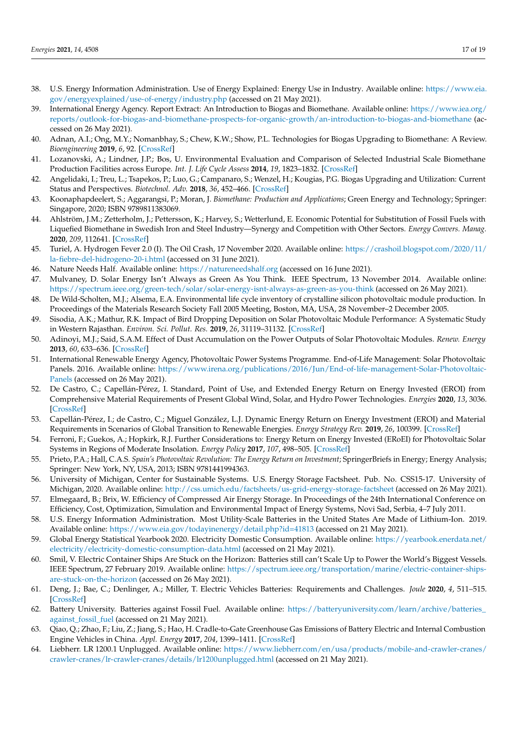- <span id="page-16-0"></span>38. U.S. Energy Information Administration. Use of Energy Explained: Energy Use in Industry. Available online: [https://www.eia.](https://www.eia.gov/energyexplained/use-of-energy/industry.php) [gov/energyexplained/use-of-energy/industry.php](https://www.eia.gov/energyexplained/use-of-energy/industry.php) (accessed on 21 May 2021).
- <span id="page-16-1"></span>39. International Energy Agency. Report Extract: An Introduction to Biogas and Biomethane. Available online: [https://www.iea.org/](https://www.iea.org/reports/outlook-for-biogas-and-biomethane-prospects-for-organic-growth/an-introduction-to-biogas-and-biomethane) [reports/outlook-for-biogas-and-biomethane-prospects-for-organic-growth/an-introduction-to-biogas-and-biomethane](https://www.iea.org/reports/outlook-for-biogas-and-biomethane-prospects-for-organic-growth/an-introduction-to-biogas-and-biomethane) (accessed on 26 May 2021).
- <span id="page-16-2"></span>40. Adnan, A.I.; Ong, M.Y.; Nomanbhay, S.; Chew, K.W.; Show, P.L. Technologies for Biogas Upgrading to Biomethane: A Review. *Bioengineering* **2019**, *6*, 92. [\[CrossRef\]](http://doi.org/10.3390/bioengineering6040092)
- <span id="page-16-3"></span>41. Lozanovski, A.; Lindner, J.P.; Bos, U. Environmental Evaluation and Comparison of Selected Industrial Scale Biomethane Production Facilities across Europe. *Int. J. Life Cycle Assess* **2014**, *19*, 1823–1832. [\[CrossRef\]](http://doi.org/10.1007/s11367-014-0791-5)
- <span id="page-16-4"></span>42. Angelidaki, I.; Treu, L.; Tsapekos, P.; Luo, G.; Campanaro, S.; Wenzel, H.; Kougias, P.G. Biogas Upgrading and Utilization: Current Status and Perspectives. *Biotechnol. Adv.* **2018**, *36*, 452–466. [\[CrossRef\]](http://doi.org/10.1016/j.biotechadv.2018.01.011)
- <span id="page-16-5"></span>43. Koonaphapdeelert, S.; Aggarangsi, P.; Moran, J. *Biomethane: Production and Applications*; Green Energy and Technology; Springer: Singapore, 2020; ISBN 9789811383069.
- <span id="page-16-6"></span>44. Ahlström, J.M.; Zetterholm, J.; Pettersson, K.; Harvey, S.; Wetterlund, E. Economic Potential for Substitution of Fossil Fuels with Liquefied Biomethane in Swedish Iron and Steel Industry—Synergy and Competition with Other Sectors. *Energy Convers. Manag.* **2020**, *209*, 112641. [\[CrossRef\]](http://doi.org/10.1016/j.enconman.2020.112641)
- <span id="page-16-7"></span>45. Turiel, A. Hydrogen Fever 2.0 (I). The Oil Crash, 17 November 2020. Available online: [https://crashoil.blogspot.com/2020/11/](https://crashoil.blogspot.com/2020/11/la-fiebre-del-hidrogeno-20-i.html) [la-fiebre-del-hidrogeno-20-i.html](https://crashoil.blogspot.com/2020/11/la-fiebre-del-hidrogeno-20-i.html) (accessed on 31 June 2021).
- <span id="page-16-8"></span>46. Nature Needs Half. Available online: <https://natureneedshalf.org> (accessed on 16 June 2021).
- <span id="page-16-9"></span>47. Mulvaney, D. Solar Energy Isn't Always as Green As You Think. IEEE Spectrum, 13 November 2014. Available online: <https://spectrum.ieee.org/green-tech/solar/solar-energy-isnt-always-as-green-as-you-think> (accessed on 26 May 2021).
- <span id="page-16-10"></span>48. De Wild-Scholten, M.J.; Alsema, E.A. Environmental life cycle inventory of crystalline silicon photovoltaic module production. In Proceedings of the Materials Research Society Fall 2005 Meeting, Boston, MA, USA, 28 November–2 December 2005.
- <span id="page-16-11"></span>49. Sisodia, A.K.; Mathur, R.K. Impact of Bird Dropping Deposition on Solar Photovoltaic Module Performance: A Systematic Study in Western Rajasthan. *Environ. Sci. Pollut. Res.* **2019**, *26*, 31119–31132. [\[CrossRef\]](http://doi.org/10.1007/s11356-019-06100-2)
- <span id="page-16-12"></span>50. Adinoyi, M.J.; Said, S.A.M. Effect of Dust Accumulation on the Power Outputs of Solar Photovoltaic Modules. *Renew. Energy* **2013**, *60*, 633–636. [\[CrossRef\]](http://doi.org/10.1016/j.renene.2013.06.014)
- <span id="page-16-13"></span>51. International Renewable Energy Agency, Photovoltaic Power Systems Programme. End-of-Life Management: Solar Photovoltaic Panels. 2016. Available online: [https://www.irena.org/publications/2016/Jun/End-of-life-management-Solar-Photovoltaic-](https://www.irena.org/publications/2016/Jun/End-of-life-management-Solar-Photovoltaic-Panels)[Panels](https://www.irena.org/publications/2016/Jun/End-of-life-management-Solar-Photovoltaic-Panels) (accessed on 26 May 2021).
- <span id="page-16-14"></span>52. De Castro, C.; Capellán-Pérez, I. Standard, Point of Use, and Extended Energy Return on Energy Invested (EROI) from Comprehensive Material Requirements of Present Global Wind, Solar, and Hydro Power Technologies. *Energies* **2020**, *13*, 3036. [\[CrossRef\]](http://doi.org/10.3390/en13123036)
- 53. Capellán-Pérez, I.; de Castro, C.; Miguel González, L.J. Dynamic Energy Return on Energy Investment (EROI) and Material Requirements in Scenarios of Global Transition to Renewable Energies. *Energy Strategy Rev.* **2019**, *26*, 100399. [\[CrossRef\]](http://doi.org/10.1016/j.esr.2019.100399)
- 54. Ferroni, F.; Guekos, A.; Hopkirk, R.J. Further Considerations to: Energy Return on Energy Invested (ERoEI) for Photovoltaic Solar Systems in Regions of Moderate Insolation. *Energy Policy* **2017**, *107*, 498–505. [\[CrossRef\]](http://doi.org/10.1016/j.enpol.2017.05.007)
- <span id="page-16-15"></span>55. Prieto, P.A.; Hall, C.A.S. *Spain's Photovoltaic Revolution: The Energy Return on Investment*; SpringerBriefs in Energy; Energy Analysis; Springer: New York, NY, USA, 2013; ISBN 9781441994363.
- <span id="page-16-16"></span>56. University of Michigan, Center for Sustainable Systems. U.S. Energy Storage Factsheet. Pub. No. CSS15-17. University of Michigan, 2020. Available online: <http://css.umich.edu/factsheets/us-grid-energy-storage-factsheet> (accessed on 26 May 2021).
- <span id="page-16-17"></span>57. Elmegaard, B.; Brix, W. Efficiency of Compressed Air Energy Storage. In Proceedings of the 24th International Conference on Efficiency, Cost, Optimization, Simulation and Environmental Impact of Energy Systems, Novi Sad, Serbia, 4–7 July 2011.
- <span id="page-16-18"></span>58. U.S. Energy Information Administration. Most Utility-Scale Batteries in the United States Are Made of Lithium-Ion. 2019. Available online: <https://www.eia.gov/todayinenergy/detail.php?id=41813> (accessed on 21 May 2021).
- <span id="page-16-19"></span>59. Global Energy Statistical Yearbook 2020. Electricity Domestic Consumption. Available online: [https://yearbook.enerdata.net/](https://yearbook.enerdata.net/electricity/electricity-domestic-consumption-data.html) [electricity/electricity-domestic-consumption-data.html](https://yearbook.enerdata.net/electricity/electricity-domestic-consumption-data.html) (accessed on 21 May 2021).
- <span id="page-16-20"></span>60. Smil, V. Electric Container Ships Are Stuck on the Horizon: Batteries still can't Scale Up to Power the World's Biggest Vessels. IEEE Spectrum, 27 February 2019. Available online: [https://spectrum.ieee.org/transportation/marine/electric-container-ships](https://spectrum.ieee.org/transportation/marine/electric-container-ships-are-stuck-on-the-horizon)[are-stuck-on-the-horizon](https://spectrum.ieee.org/transportation/marine/electric-container-ships-are-stuck-on-the-horizon) (accessed on 26 May 2021).
- <span id="page-16-21"></span>61. Deng, J.; Bae, C.; Denlinger, A.; Miller, T. Electric Vehicles Batteries: Requirements and Challenges. *Joule* **2020**, *4*, 511–515. [\[CrossRef\]](http://doi.org/10.1016/j.joule.2020.01.013)
- <span id="page-16-22"></span>62. Battery University. Batteries against Fossil Fuel. Available online: [https://batteryuniversity.com/learn/archive/batteries\\_](https://batteryuniversity.com/learn/archive/batteries_against_fossil_fuel) [against\\_fossil\\_fuel](https://batteryuniversity.com/learn/archive/batteries_against_fossil_fuel) (accessed on 21 May 2021).
- <span id="page-16-23"></span>63. Qiao, Q.; Zhao, F.; Liu, Z.; Jiang, S.; Hao, H. Cradle-to-Gate Greenhouse Gas Emissions of Battery Electric and Internal Combustion Engine Vehicles in China. *Appl. Energy* **2017**, *204*, 1399–1411. [\[CrossRef\]](http://doi.org/10.1016/j.apenergy.2017.05.041)
- <span id="page-16-24"></span>64. Liebherr. LR 1200.1 Unplugged. Available online: [https://www.liebherr.com/en/usa/products/mobile-and-crawler-cranes/](https://www.liebherr.com/en/usa/products/mobile-and-crawler-cranes/crawler-cranes/lr-crawler-cranes/details/lr1200unplugged.html) [crawler-cranes/lr-crawler-cranes/details/lr1200unplugged.html](https://www.liebherr.com/en/usa/products/mobile-and-crawler-cranes/crawler-cranes/lr-crawler-cranes/details/lr1200unplugged.html) (accessed on 21 May 2021).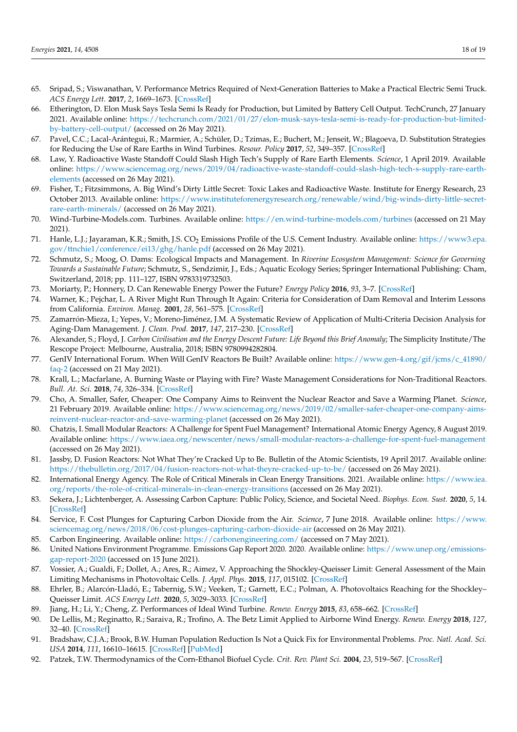- <span id="page-17-0"></span>65. Sripad, S.; Viswanathan, V. Performance Metrics Required of Next-Generation Batteries to Make a Practical Electric Semi Truck. *ACS Energy Lett.* **2017**, *2*, 1669–1673. [\[CrossRef\]](http://doi.org/10.1021/acsenergylett.7b00432)
- <span id="page-17-1"></span>66. Etherington, D. Elon Musk Says Tesla Semi Is Ready for Production, but Limited by Battery Cell Output. TechCrunch, 27 January 2021. Available online: [https://techcrunch.com/2021/01/27/elon-musk-says-tesla-semi-is-ready-for-production-but-limited](https://techcrunch.com/2021/01/27/elon-musk-says-tesla-semi-is-ready-for-production-but-limited-by-battery-cell-output/)[by-battery-cell-output/](https://techcrunch.com/2021/01/27/elon-musk-says-tesla-semi-is-ready-for-production-but-limited-by-battery-cell-output/) (accessed on 26 May 2021).
- <span id="page-17-2"></span>67. Pavel, C.C.; Lacal-Arántegui, R.; Marmier, A.; Schüler, D.; Tzimas, E.; Buchert, M.; Jenseit, W.; Blagoeva, D. Substitution Strategies for Reducing the Use of Rare Earths in Wind Turbines. *Resour. Policy* **2017**, *52*, 349–357. [\[CrossRef\]](http://doi.org/10.1016/j.resourpol.2017.04.010)
- <span id="page-17-3"></span>68. Law, Y. Radioactive Waste Standoff Could Slash High Tech's Supply of Rare Earth Elements. *Science*, 1 April 2019. Available online: [https://www.sciencemag.org/news/2019/04/radioactive-waste-standoff-could-slash-high-tech-s-supply-rare-earth](https://www.sciencemag.org/news/2019/04/radioactive-waste-standoff-could-slash-high-tech-s-supply-rare-earth-elements)[elements](https://www.sciencemag.org/news/2019/04/radioactive-waste-standoff-could-slash-high-tech-s-supply-rare-earth-elements) (accessed on 26 May 2021).
- <span id="page-17-4"></span>69. Fisher, T.; Fitzsimmons, A. Big Wind's Dirty Little Secret: Toxic Lakes and Radioactive Waste. Institute for Energy Research, 23 October 2013. Available online: [https://www.instituteforenergyresearch.org/renewable/wind/big-winds-dirty-little-secret](https://www.instituteforenergyresearch.org/renewable/wind/big-winds-dirty-little-secret-rare-earth-minerals/)[rare-earth-minerals/](https://www.instituteforenergyresearch.org/renewable/wind/big-winds-dirty-little-secret-rare-earth-minerals/) (accessed on 26 May 2021).
- <span id="page-17-5"></span>70. Wind-Turbine-Models.com. Turbines. Available online: <https://en.wind-turbine-models.com/turbines> (accessed on 21 May 2021).
- <span id="page-17-6"></span>71. Hanle, L.J.; Jayaraman, K.R.; Smith, J.S. CO<sub>2</sub> Emissions Profile of the U.S. Cement Industry. Available online: [https://www3.epa.](https://www3.epa.gov/ttnchie1/conference/ei13/ghg/hanle.pdf) [gov/ttnchie1/conference/ei13/ghg/hanle.pdf](https://www3.epa.gov/ttnchie1/conference/ei13/ghg/hanle.pdf) (accessed on 26 May 2021).
- <span id="page-17-7"></span>72. Schmutz, S.; Moog, O. Dams: Ecological Impacts and Management. In *Riverine Ecosystem Management: Science for Governing Towards a Sustainable Future*; Schmutz, S., Sendzimir, J., Eds.; Aquatic Ecology Series; Springer International Publishing: Cham, Switzerland, 2018; pp. 111–127, ISBN 9783319732503.
- <span id="page-17-8"></span>73. Moriarty, P.; Honnery, D. Can Renewable Energy Power the Future? *Energy Policy* **2016**, *93*, 3–7. [\[CrossRef\]](http://doi.org/10.1016/j.enpol.2016.02.051)
- 74. Warner, K.; Pejchar, L. A River Might Run Through It Again: Criteria for Consideration of Dam Removal and Interim Lessons from California. *Environ. Manag.* **2001**, *28*, 561–575. [\[CrossRef\]](http://doi.org/10.1007/s002670010244)
- <span id="page-17-9"></span>75. Zamarrón-Mieza, I.; Yepes, V.; Moreno-Jiménez, J.M. A Systematic Review of Application of Multi-Criteria Decision Analysis for Aging-Dam Management. *J. Clean. Prod.* **2017**, *147*, 217–230. [\[CrossRef\]](http://doi.org/10.1016/j.jclepro.2017.01.092)
- <span id="page-17-10"></span>76. Alexander, S.; Floyd, J. *Carbon Civilisation and the Energy Descent Future: Life Beyond this Brief Anomaly*; The Simplicity Institute/The Rescope Project: Melbourne, Australia, 2018; ISBN 9780994282804.
- <span id="page-17-11"></span>77. GenIV International Forum. When Will GenIV Reactors Be Built? Available online: [https://www.gen-4.org/gif/jcms/c\\_41890/](https://www.gen-4.org/gif/jcms/c_41890/faq-2) [faq-2](https://www.gen-4.org/gif/jcms/c_41890/faq-2) (accessed on 21 May 2021).
- <span id="page-17-12"></span>78. Krall, L.; Macfarlane, A. Burning Waste or Playing with Fire? Waste Management Considerations for Non-Traditional Reactors. *Bull. At. Sci.* **2018**, *74*, 326–334. [\[CrossRef\]](http://doi.org/10.1080/00963402.2018.1507791)
- <span id="page-17-13"></span>79. Cho, A. Smaller, Safer, Cheaper: One Company Aims to Reinvent the Nuclear Reactor and Save a Warming Planet. *Science*, 21 February 2019. Available online: [https://www.sciencemag.org/news/2019/02/smaller-safer-cheaper-one-company-aims](https://www.sciencemag.org/news/2019/02/smaller-safer-cheaper-one-company-aims-reinvent-nuclear-reactor-and-save-warming-planet)[reinvent-nuclear-reactor-and-save-warming-planet](https://www.sciencemag.org/news/2019/02/smaller-safer-cheaper-one-company-aims-reinvent-nuclear-reactor-and-save-warming-planet) (accessed on 26 May 2021).
- <span id="page-17-14"></span>80. Chatzis, I. Small Modular Reactors: A Challenge for Spent Fuel Management? International Atomic Energy Agency, 8 August 2019. Available online: <https://www.iaea.org/newscenter/news/small-modular-reactors-a-challenge-for-spent-fuel-management> (accessed on 26 May 2021).
- <span id="page-17-15"></span>81. Jassby, D. Fusion Reactors: Not What They're Cracked Up to Be. Bulletin of the Atomic Scientists, 19 April 2017. Available online: <https://thebulletin.org/2017/04/fusion-reactors-not-what-theyre-cracked-up-to-be/> (accessed on 26 May 2021).
- <span id="page-17-16"></span>82. International Energy Agency. The Role of Critical Minerals in Clean Energy Transitions. 2021. Available online: [https://www.iea.](https://www.iea.org/reports/the-role-of-critical-minerals-in-clean-energy-transitions) [org/reports/the-role-of-critical-minerals-in-clean-energy-transitions](https://www.iea.org/reports/the-role-of-critical-minerals-in-clean-energy-transitions) (accessed on 26 May 2021).
- <span id="page-17-17"></span>83. Sekera, J.; Lichtenberger, A. Assessing Carbon Capture: Public Policy, Science, and Societal Need. *Biophys. Econ. Sust.* **2020**, *5*, 14. [\[CrossRef\]](http://doi.org/10.1007/s41247-020-00080-5)
- <span id="page-17-18"></span>84. Service, F. Cost Plunges for Capturing Carbon Dioxide from the Air. *Science*, 7 June 2018. Available online: [https://www.](https://www.sciencemag.org/news/2018/06/cost-plunges-capturing-carbon-dioxide-air) [sciencemag.org/news/2018/06/cost-plunges-capturing-carbon-dioxide-air](https://www.sciencemag.org/news/2018/06/cost-plunges-capturing-carbon-dioxide-air) (accessed on 26 May 2021).
- <span id="page-17-19"></span>85. Carbon Engineering. Available online: <https://carbonengineering.com/> (accessed on 7 May 2021).
- <span id="page-17-20"></span>86. United Nations Environment Programme. Emissions Gap Report 2020. 2020. Available online: [https://www.unep.org/emissions](https://www.unep.org/emissions-gap-report-2020)[gap-report-2020](https://www.unep.org/emissions-gap-report-2020) (accessed on 15 June 2021).
- <span id="page-17-21"></span>87. Vossier, A.; Gualdi, F.; Dollet, A.; Ares, R.; Aimez, V. Approaching the Shockley-Queisser Limit: General Assessment of the Main Limiting Mechanisms in Photovoltaic Cells. *J. Appl. Phys.* **2015**, *117*, 015102. [\[CrossRef\]](http://doi.org/10.1063/1.4905277)
- <span id="page-17-22"></span>88. Ehrler, B.; Alarcón-Lladó, E.; Tabernig, S.W.; Veeken, T.; Garnett, E.C.; Polman, A. Photovoltaics Reaching for the Shockley– Queisser Limit. *ACS Energy Lett.* **2020**, *5*, 3029–3033. [\[CrossRef\]](http://doi.org/10.1021/acsenergylett.0c01790)
- <span id="page-17-23"></span>89. Jiang, H.; Li, Y.; Cheng, Z. Performances of Ideal Wind Turbine. *Renew. Energy* **2015**, *83*, 658–662. [\[CrossRef\]](http://doi.org/10.1016/j.renene.2015.05.013)
- <span id="page-17-24"></span>90. De Lellis, M.; Reginatto, R.; Saraiva, R.; Trofino, A. The Betz Limit Applied to Airborne Wind Energy. *Renew. Energy* **2018**, *127*, 32–40. [\[CrossRef\]](http://doi.org/10.1016/j.renene.2018.04.034)
- <span id="page-17-25"></span>91. Bradshaw, C.J.A.; Brook, B.W. Human Population Reduction Is Not a Quick Fix for Environmental Problems. *Proc. Natl. Acad. Sci. USA* **2014**, *111*, 16610–16615. [\[CrossRef\]](http://doi.org/10.1073/pnas.1410465111) [\[PubMed\]](http://www.ncbi.nlm.nih.gov/pubmed/25349398)
- <span id="page-17-26"></span>92. Patzek, T.W. Thermodynamics of the Corn-Ethanol Biofuel Cycle. *Crit. Rev. Plant Sci.* **2004**, *23*, 519–567. [\[CrossRef\]](http://doi.org/10.1080/07352680490886905)